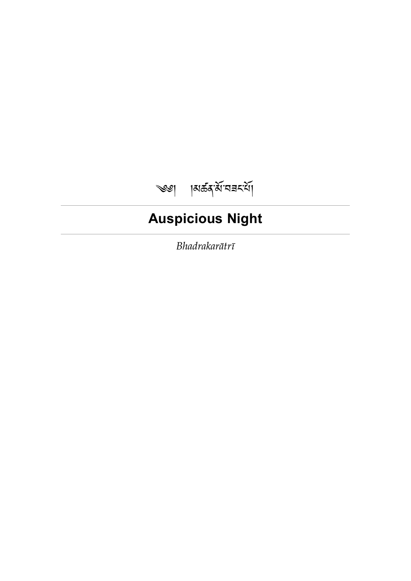# <span id="page-0-0"></span>༄༅། །མཚན་་བཟང་།

# **Auspicious Night**

*Bhadrakarātrī*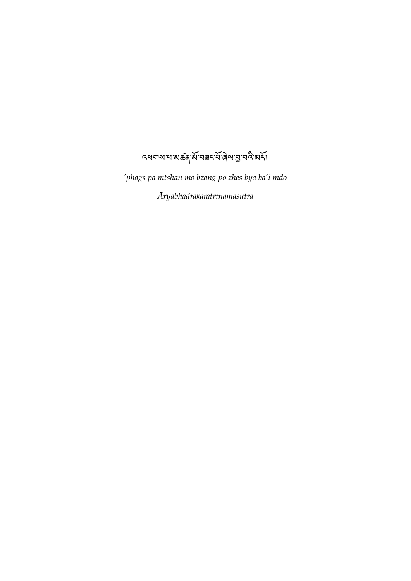$\sim$ পর্যামানে মুর্কি, বিভিন্ন বিশ্বাস্থ্য বিদ্রা

*'phags pa mtshan mo bzang po zhes bya ba'i mdo Āryabhadrakarātrīnāmasūtra*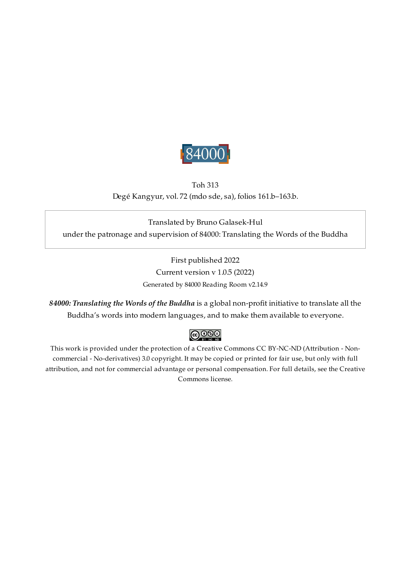

## Toh 313 Degé Kangyur, vol. 72 (mdo sde, sa), folios 161.b–163.b.

<span id="page-2-0"></span>Translated by Bruno Galasek-Hul under the patronage and supervision of 84000: Translating the Words of the Buddha

> First published 2022 Current version v 1.0.5 (2022) Generated by 84000 Reading Room v2.14.9

*84000: Translating the Words of the Buddha* is a global non-profit initiative to translate all the Buddha's words into modern languages, and to make them available to everyone.

## $\bigcirc$  000

This work is provided under the protection of a Creative Commons CC BY-NC-ND (Attribution - Noncommercial - No-derivatives) 3.0 copyright. It may be copied or printed for fair use, but only with full attribution, and not for commercial advantage or personal compensation. For full details, see the Creative Commons license.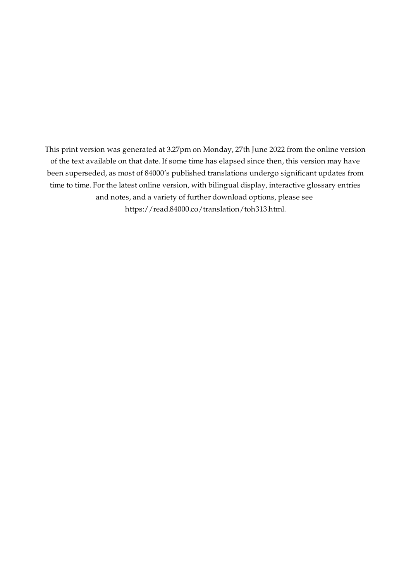This print version was generated at 3.27pm on Monday, 27th June 2022 from the online version of the text available on that date. If some time has elapsed since then, this version may have been superseded, as most of 84000's published translations undergo significant updates from time to time. For the latest online version, with bilingual display, interactive glossary entries and notes, and a variety of further download options, please see [https://read.84000.co/translation/toh313.html.](https://read.84000.co/translation/toh313.html)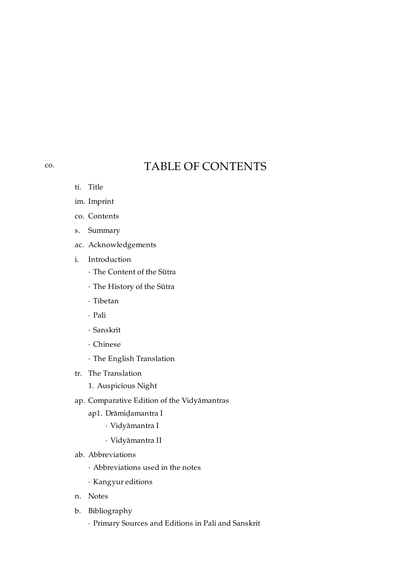## TABLE OF CONTENTS

- ti. [Title](#page-0-0)
- im. [Imprint](#page-2-0)
- co. [Contents](#page-4-0)
- s. [Summary](#page-6-0)
- ac. [Acknowledgements](#page-7-0)
- i. [Introduction](#page-8-0)
	- · The [Content](#page-8-1) of the Sūtra
	- · The [History](#page-8-2) of the Sūtra
	- · [Tibetan](#page-9-0)
	- · [Pali](#page-10-0)
	- · [Sanskrit](#page-11-0)
	- · [Chinese](#page-11-1)
	- · The English [Translation](#page-12-0)
- tr. The [Translation](#page-14-0)
	- 1. [Auspicious](#page-15-0) Night
- ap. Comparative Edition of the [Vidyāmantras](#page-19-0)
	- ap1. [Drāmiḍamantra](#page-19-1) I
		- · [Vidyāmantra](#page-19-2) I
		- · [Vidyāmantra](#page-19-3) II
- ab. [Abbreviations](#page-20-0)
	- · [Abbreviations](#page-20-1) used in the notes
	- · [Kangyur](#page-20-2) editions
- n. [Notes](#page-22-0)
- b. [Bibliography](#page-31-0)
	- · Primary Sources and [Editions](#page-31-1) in Pali and Sanskrit

<span id="page-4-0"></span>[co.](#page-4-0)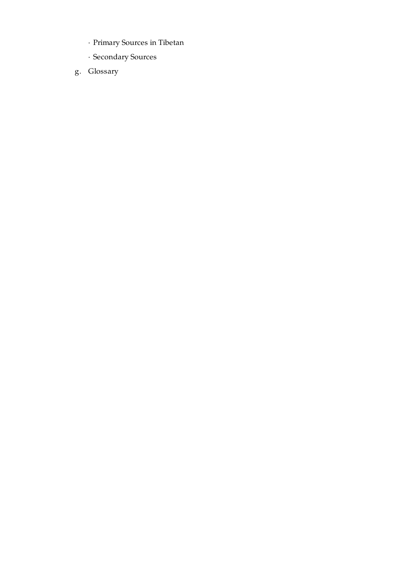- · [Primary](#page-32-0) Sources in Tibetan
- · [Secondary](#page-33-0) Sources
- g. [Glossary](#page-37-0)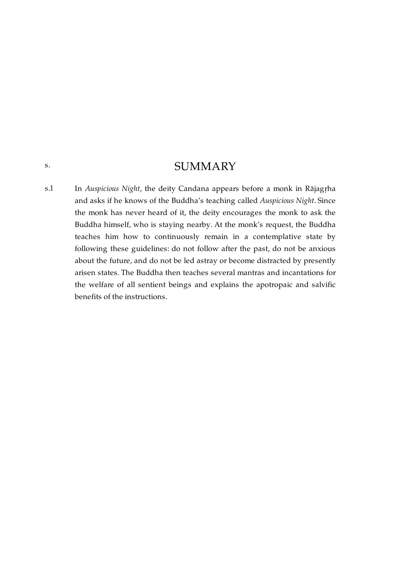## **SUMMARY**

<span id="page-6-1"></span>In *Auspicious Night*, the deity Candana appears before a monk in Rājagṛha and asks if he knows of the Buddha's teaching called *Auspicious Night*. Since the monk has never heard of it, the deity encourages the monk to ask the Buddha himself, who is staying nearby. At the monk's request, the Buddha teaches him how to continuously remain in a contemplative state by following these guidelines: do not follow after the past, do not be anxious about the future, and do not be led astray or become distracted by presently arisen states. The Buddha then teaches several mantras and incantations for the welfare of all sentient beings and explains the apotropaic and salvific benefits of the instructions. [s.1](#page-6-1)

<span id="page-6-0"></span>[s.](#page-6-0)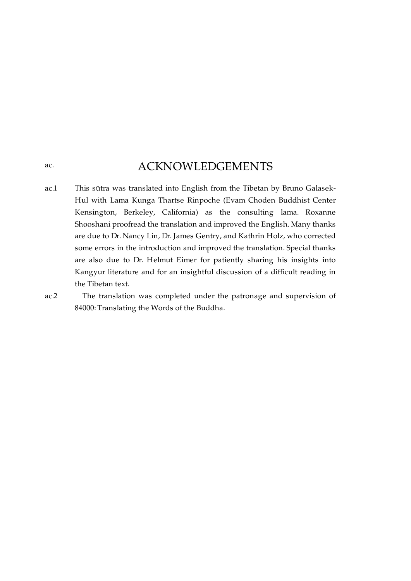## ACKNOWLEDGEMENTS

<span id="page-7-1"></span>This sūtra was translated into English from the Tibetan by Bruno Galasek-Hul with Lama Kunga Thartse Rinpoche (Evam Choden Buddhist Center Kensington, Berkeley, California) as the consulting lama. Roxanne Shooshani proofread the translation and improved the English. Many thanks are due to Dr. Nancy Lin, Dr. James Gentry, and Kathrin Holz, who corrected some errors in the introduction and improved the translation. Special thanks are also due to Dr. Helmut Eimer for patiently sharing his insights into Kangyur literature and for an insightful discussion of a difficult reading in the Tibetan text. [ac.1](#page-7-1)

<span id="page-7-2"></span>The translation was completed under the patronage and supervision of 84000: Translating the Words of the Buddha. [ac.2](#page-7-2)

<span id="page-7-0"></span>[ac.](#page-7-0)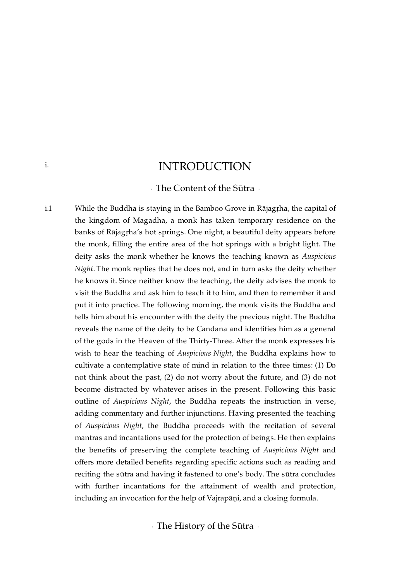## INTRODUCTION

· The Content of the Sūtra ·

While the Buddha is staying in the Bamboo Grove in Rājagṛha, the capital of the kingdom of Magadha, a monk has taken temporary residence on the banks of Rājagṛha's hot springs. One night, a beautiful deity appears before the monk, filling the entire area of the hot springs with a bright light. The deity asks the monk whether he knows the teaching known as *Auspicious Night*. The monk replies that he does not, and in turn asks the deity whether he knows it. Since neither know the teaching, the deity advises the monk to visit the Buddha and ask him to teach it to him, and then to remember it and put it into practice. The following morning, the monk visits the Buddha and tells him about his encounter with the deity the previous night. The Buddha reveals the name of the deity to be Candana and identifies him as a general of the gods in the Heaven of the Thirty-Three. After the monk expresses his wish to hear the teaching of *Auspicious Night*, the Buddha explains how to cultivate a contemplative state of mind in relation to the three times: (1) Do not think about the past, (2) do not worry about the future, and (3) do not become distracted by whatever arises in the present. Following this basic outline of *Auspicious Night*, the Buddha repeats the instruction in verse, adding commentary and further injunctions. Having presented the teaching of *Auspicious Night*, the Buddha proceeds with the recitation of several mantras and incantations used for the protection of beings. He then explains the benefits of preserving the complete teaching of *Auspicious Night* and offers more detailed benefits regarding specific actions such as reading and reciting the sūtra and having it fastened to one's body. The sūtra concludes with further incantations for the attainment of wealth and protection, including an invocation for the help of Vajrapāṇi, and a closing formula.

<span id="page-8-2"></span>· The History of the Sūtra ·

<span id="page-8-0"></span>[i.](#page-8-0)

<span id="page-8-3"></span><span id="page-8-1"></span>[i.1](#page-8-3)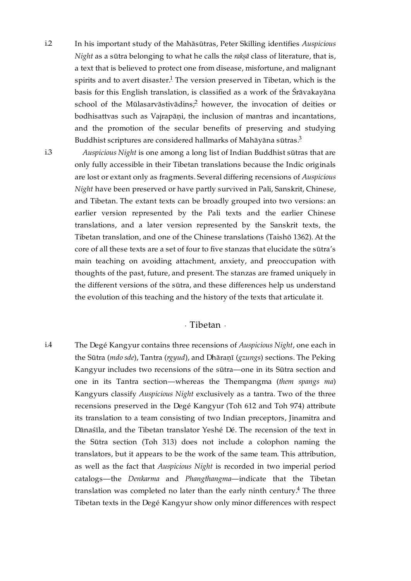<span id="page-9-1"></span>In his important study of the Mahāsūtras, Peter Skilling identifies *Auspicious Night* as a sūtra belonging to what he calls the *rakṣā* class of literature, that is, a text that is believed to protect one from disease, misfortune, and malignant spirits and to avert disaster. $^1$  $^1$  The version preserved in Tibetan, which is the basis for this English translation, is classified as a work of the Śrāvakayāna school of the Mūlasarvāstivādins $\frac{2}{r}$  $\frac{2}{r}$  $\frac{2}{r}$  however, the invocation of deities or bodhisattvas such as Vajrapāṇi, the inclusion of mantras and incantations, and the promotion of the secular benefits of preserving and studying Buddhist scriptures are considered hallmarks of Mahāyāna sūtras. $^3$  $^3$ [i.2](#page-9-1)

<span id="page-9-2"></span>[i.3](#page-9-2)

<span id="page-9-5"></span><span id="page-9-4"></span>*Auspicious Night* is one among a long list of Indian Buddhist sūtras that are only fully accessible in their Tibetan translations because the Indic originals are lost or extant only as fragments. Several differing recensions of *Auspicious Night* have been preserved or have partly survived in Pali, Sanskrit, Chinese, and Tibetan. The extant texts can be broadly grouped into two versions: an earlier version represented by the Pali texts and the earlier Chinese translations, and a later version represented by the Sanskrit texts, the Tibetan translation, and one of the Chinese translations (Taishō 1362). At the core of all these texts are a set of four to five stanzas that elucidate the sūtra's main teaching on avoiding attachment, anxiety, and preoccupation with thoughts of the past, future, and present. The stanzas are framed uniquely in the different versions of the sūtra, and these differences help us understand the evolution of this teaching and the history of the texts that articulate it.

### <span id="page-9-7"></span><span id="page-9-6"></span>· Tibetan ·

<span id="page-9-3"></span><span id="page-9-0"></span>The Degé Kangyur contains three recensions of *Auspicious Night*, one each in the Sūtra (*mdo sde*), Tantra (*rgyud*), and Dhāraṇī (*gzungs*) sections. The Peking Kangyur includes two recensions of the sūtra—one in its Sūtra section and one in its Tantra section—whereas the Thempangma (*them spangs ma*) Kangyurs classify *Auspicious Night* exclusively as a tantra. Two of the three recensions preserved in the Degé Kangyur (Toh 612 and Toh 974) attribute its translation to a team consisting of two Indian preceptors, Jinamitra and Dānaśīla, and the Tibetan translator Yeshé Dé. The recension of the text in the Sūtra section (Toh 313) does not include a colophon naming the translators, but it appears to be the work of the same team. This attribution, as well as the fact that *Auspicious Night* is recorded in two imperial period catalogs—the *Denkarma* and *Phangthangma*—indicate that the Tibetan translation was completed no later than the early ninth century.<sup>[4](#page-22-4)</sup> The three Tibetan texts in the Degé Kangyur show only minor differences with respect [i.4](#page-9-3)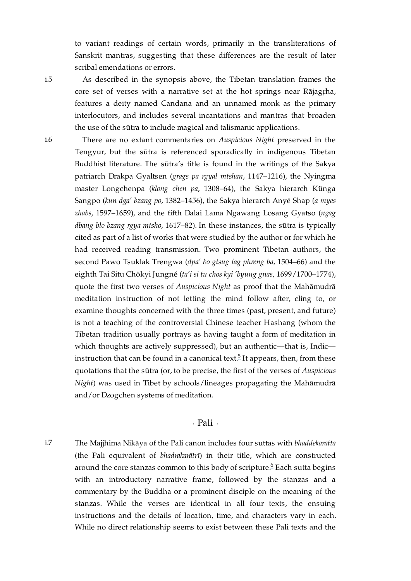to variant readings of certain words, primarily in the transliterations of Sanskrit mantras, suggesting that these differences are the result of later scribal emendations or errors.

<span id="page-10-1"></span>As described in the synopsis above, the Tibetan translation frames the core set of verses with a narrative set at the hot springs near Rājagṛha, features a deity named Candana and an unnamed monk as the primary interlocutors, and includes several incantations and mantras that broaden the use of the sūtra to include magical and talismanic applications.

There are no extant commentaries on *Auspicious Night* preserved in the Tengyur, but the sūtra is referenced sporadically in indigenous Tibetan Buddhist literature. The sūtra's title is found in the writings of the Sakya patriarch Drakpa Gyaltsen (*grags pa rgyal mtshan*, 1147–1216), the Nyingma master Longchenpa (*klong chen pa*, 1308–64), the Sakya hierarch Künga Sangpo (*kun dga' bzang po*, 1382–1456), the Sakya hierarch Anyé Shap (*a myes zhabs*, 1597–1659), and the fifth Dalai Lama Ngawang Losang Gyatso (*ngag dbang blo bzang rgya mtsho*, 1617–82). In these instances, the sūtra is typically cited as part of a list of works that were studied by the author or for which he had received reading transmission. Two prominent Tibetan authors, the second Pawo Tsuklak Trengwa (*dpa' bo gtsug lag phreng ba*, 1504–66) and the eighth Tai Situ Chökyi Jungné (*ta'i si tu chos kyi 'byung gnas*, 1699/1700–1774), quote the first two verses of *Auspicious Night* as proof that the Mahāmudrā meditation instruction of not letting the mind follow after, cling to, or examine thoughts concerned with the three times (past, present, and future) is not a teaching of the controversial Chinese teacher Hashang (whom the Tibetan tradition usually portrays as having taught a form of meditation in which thoughts are actively suppressed), but an authentic—that is, Indic instruction that can be found in a canonical text $\stackrel{5}{\cdot}$  $\stackrel{5}{\cdot}$  $\stackrel{5}{\cdot}$  It appears, then, from these quotations that the sūtra (or, to be precise, the first of the verses of *Auspicious Night*) was used in Tibet by schools/lineages propagating the Mahāmudrā and/or Dzogchen systems of meditation.

### <span id="page-10-5"></span><span id="page-10-4"></span>· Pali ·

<span id="page-10-3"></span><span id="page-10-0"></span>The Majjhima Nikāya of the Pali canon includes four suttas with *bhaddekaratta* (the Pali equivalent of *bhadrakarātrī*) in their title, which are constructed around the core stanzas common to this body of scripture. $^6$  $^6$  Each sutta begins with an introductory narrative frame, followed by the stanzas and a commentary by the Buddha or a prominent disciple on the meaning of the stanzas. While the verses are identical in all four texts, the ensuing instructions and the details of location, time, and characters vary in each. While no direct relationship seems to exist between these Pali texts and the [i.7](#page-10-3)

<span id="page-10-2"></span>[i.6](#page-10-2)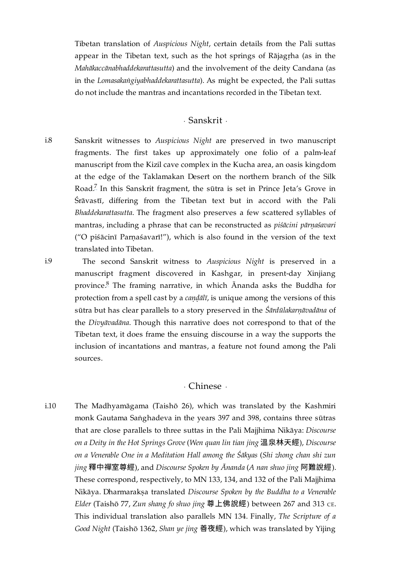Tibetan translation of *Auspicious Night*, certain details from the Pali suttas appear in the Tibetan text, such as the hot springs of Rājagṛha (as in the *Mahākaccānabhaddekarattasutta*) and the involvement of the deity Candana (as in the *Lomasakaṅgiyabhaddekarattasutta*). As might be expected, the Pali suttas do not include the mantras and incantations recorded in the Tibetan text.

### · Sanskrit ·

<span id="page-11-5"></span><span id="page-11-2"></span><span id="page-11-0"></span>Sanskrit witnesses to *Auspicious Night* are preserved in two manuscript fragments. The first takes up approximately one folio of a palm-leaf manuscript from the Kizil cave complex in the Kucha area, an oasis kingdom at the edge of the Taklamakan Desert on the northern branch of the Silk Road.<sup>[7](#page-23-1)</sup> In this Sanskrit fragment, the sūtra is set in Prince Jeta's Grove in Śrāvastī, differing from the Tibetan text but in accord with the Pali *Bhaddekarattasutta*. The fragment also preserves a few scattered syllables of mantras, including a phrase that can be reconstructed as *piśācini pārṇaśavari* ("O piśācinī Parṇaśavarī!"), which is also found in the version of the text translated into Tibetan. [i.8](#page-11-2)

<span id="page-11-3"></span>[i.9](#page-11-3)

<span id="page-11-6"></span>The second Sanskrit witness to *Auspicious Night* is preserved in a manuscript fragment discovered in Kashgar, in present-day Xinjiang province.<sup>[8](#page-23-2)</sup> The framing narrative, in which Ānanda asks the Buddha for protection from a spell cast by a *caṇḍālī*, is unique among the versions of this sūtra but has clear parallels to a story preserved in the *Śārdūlakarṇāvadāna* of the *Divyāvadāna*. Though this narrative does not correspond to that of the Tibetan text, it does frame the ensuing discourse in a way the supports the inclusion of incantations and mantras, a feature not found among the Pali sources.

### · Chinese ·

<span id="page-11-4"></span><span id="page-11-1"></span>The Madhyamāgama (Taishō 26), which was translated by the Kashmiri monk Gautama Saṅghadeva in the years 397 and 398, contains three sūtras that are close parallels to three suttas in the Pali Majjhima Nikāya: *Discourse on a Deity in the Hot Springs Grove* (*Wen quan lin tian jing* 溫泉林天經), *Discourse on a Venerable One in a Meditation Hall among the Śākyas* (*Shi zhong chan shi zun jing* 釋中禪室尊經), and *Discourse Spoken by Ānanda* (*A nan shuo jing* 阿難說經). These correspond, respectively, to MN 133, 134, and 132 of the Pali Majjhima Nikāya. Dharmarakṣa translated *Discourse Spoken by the Buddha to a Venerable Elder* (Taishō 77, *Zun shang fo shuo jing* 尊上佛說經) between 267 and 313 ᴄᴇ. This individual translation also parallels MN 134. Finally, *The Scripture of a Good Night* (Taishō 1362, *Shan ye jing* 善夜經), which was translated by Yijing [i.10](#page-11-4)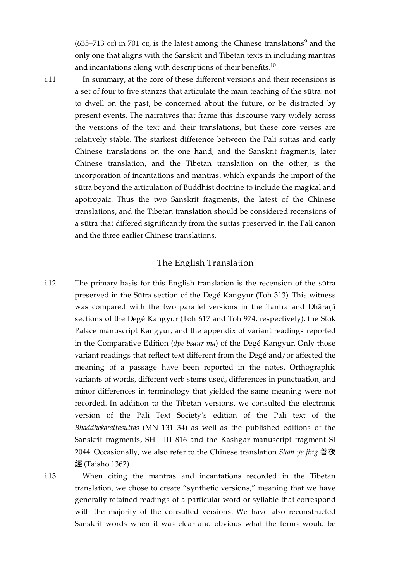<span id="page-12-5"></span><span id="page-12-4"></span>(635–713 cE) in 701 cE, is the latest among the Chinese translations $\frac{9}{1}$  $\frac{9}{1}$  $\frac{9}{1}$  and the only one that aligns with the Sanskrit and Tibetan texts in including mantras and incantations along with descriptions of their benefits. $^{10}$  $^{10}$  $^{10}$ 

<span id="page-12-1"></span>[i.11](#page-12-1)

In summary, at the core of these different versions and their recensions is a set of four to five stanzas that articulate the main teaching of the sūtra: not to dwell on the past, be concerned about the future, or be distracted by present events. The narratives that frame this discourse vary widely across the versions of the text and their translations, but these core verses are relatively stable. The starkest difference between the Pali suttas and early Chinese translations on the one hand, and the Sanskrit fragments, later Chinese translation, and the Tibetan translation on the other, is the incorporation of incantations and mantras, which expands the import of the sūtra beyond the articulation of Buddhist doctrine to include the magical and apotropaic. Thus the two Sanskrit fragments, the latest of the Chinese translations, and the Tibetan translation should be considered recensions of a sūtra that differed significantly from the suttas preserved in the Pali canon and the three earlier Chinese translations.

## · The English Translation ·

<span id="page-12-2"></span><span id="page-12-0"></span>The primary basis for this English translation is the recension of the sūtra preserved in the Sūtra section of the Degé Kangyur (Toh 313). This witness was compared with the two parallel versions in the Tantra and Dhāraṇī sections of the Degé Kangyur (Toh 617 and Toh 974, respectively), the Stok Palace manuscript Kangyur, and the appendix of variant readings reported in the Comparative Edition (*dpe bsdur ma*) of the Degé Kangyur. Only those variant readings that reflect text different from the Degé and/or affected the meaning of a passage have been reported in the notes. Orthographic variants of words, different verb stems used, differences in punctuation, and minor differences in terminology that yielded the same meaning were not recorded. In addition to the Tibetan versions, we consulted the electronic version of the Pali Text Society's edition of the Pali text of the *Bhaddhekarattasuttas* (MN 131–34) as well as the published editions of the Sanskrit fragments, SHT III 816 and the Kashgar manuscript fragment SI 2044. Occasionally, we also refer to the Chinese translation *Shan ye jing* 善夜 經 (Taishō 1362). [i.12](#page-12-2)

<span id="page-12-3"></span>[i.13](#page-12-3)

When citing the mantras and incantations recorded in the Tibetan translation, we chose to create "synthetic versions," meaning that we have generally retained readings of a particular word or syllable that correspond with the majority of the consulted versions. We have also reconstructed Sanskrit words when it was clear and obvious what the terms would be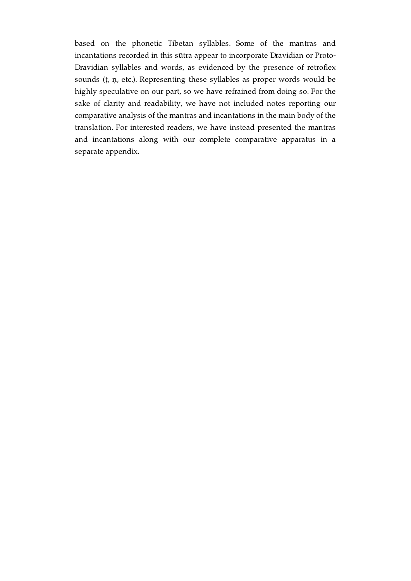based on the phonetic Tibetan syllables. Some of the mantras and incantations recorded in this sūtra appear to incorporate Dravidian or Proto-Dravidian syllables and words, as evidenced by the presence of retroflex sounds (ṭ, ṇ, etc.). Representing these syllables as proper words would be highly speculative on our part, so we have refrained from doing so. For the sake of clarity and readability, we have not included notes reporting our comparative analysis of the mantras and incantations in the main body of the translation. For interested readers, we have instead presented the mantras and incantations along with our complete comparative apparatus in a separate appendix.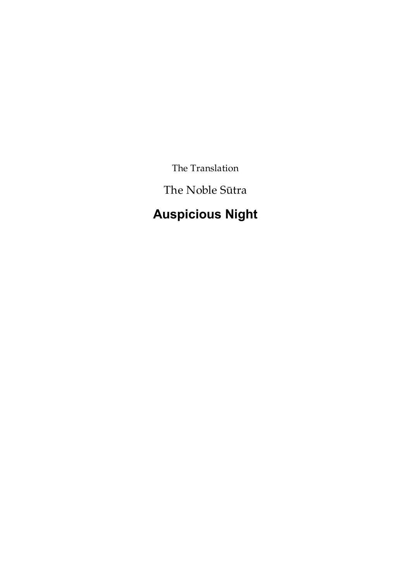The Translation

The Noble Sūtra

# <span id="page-14-0"></span>**Auspicious Night**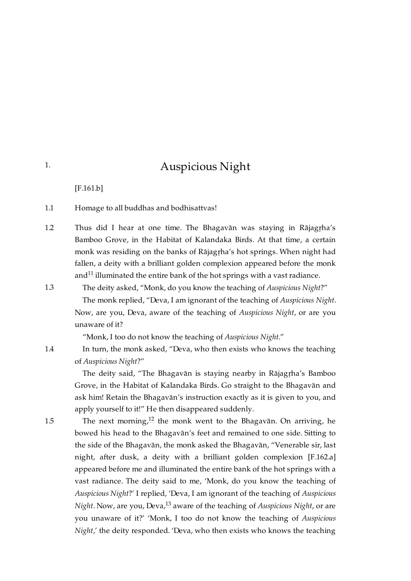## Auspicious Night

[\[F.161.b\]](https://translator:gzungs@read.84000-translate.org/source/toh313.html?ref-index=1#ajax-source)

<span id="page-15-1"></span>Homage to all buddhas and bodhisattvas! [1.1](#page-15-1)

<span id="page-15-2"></span>Thus did I hear at one time. The Bhagavān was staying in Rājagṛha's Bamboo Grove, in the Habitat of Kalandaka Birds. At that time, a certain monk was residing on the banks of Rājagṛha's hot springs. When night had fallen, a deity with a brilliant golden complexion appeared before the monk and $^{11}$  $^{11}$  $^{11}$  illuminated the entire bank of the hot springs with a vast radiance. [1.2](#page-15-2)

<span id="page-15-6"></span>The deity asked, "Monk, do you know the teaching of *Auspicious Night*?"

The monk replied, "Deva, I am ignorant of the teaching of *Auspicious Night*. Now, are you, Deva, aware of the teaching of *Auspicious Night*, or are you unaware of it?

"Monk, I too do not know the teaching of *Auspicious Night*."

In turn, the monk asked, "Deva, who then exists who knows the teaching of *Auspicious Night*?"

The deity said, "The Bhagavān is staying nearby in Rājagṛha's Bamboo Grove, in the Habitat of Kalandaka Birds. Go straight to the Bhagavān and ask him! Retain the Bhagavān's instruction exactly as it is given to you, and apply yourself to it!" He then disappeared suddenly.

<span id="page-15-8"></span><span id="page-15-7"></span>The next morning, $^{12}$  $^{12}$  $^{12}$  the monk went to the Bhagavān. On arriving, he bowed his head to the Bhagavān's feet and remained to one side. Sitting to the side of the Bhagavān, the monk asked the Bhagavān, "Venerable sir, last night, after dusk, a deity with a brilliant golden complexion [\[F.162.a\]](https://translator:gzungs@read.84000-translate.org/source/toh313.html?ref-index=2#ajax-source) appeared before me and illuminated the entire bank of the hot springs with a vast radiance. The deity said to me, 'Monk, do you know the teaching of *Auspicious Night*?' I replied, 'Deva, I am ignorant of the teaching of *Auspicious Night*. Now, are you, Deva, $^{13}$  $^{13}$  $^{13}$  aware of the teaching of *Auspicious Night,* or are you unaware of it?' 'Monk, I too do not know the teaching of *Auspicious Night*,' the deity responded. 'Deva, who then exists who knows the teaching

<span id="page-15-4"></span>[1.4](#page-15-4)

<span id="page-15-5"></span>[1.5](#page-15-5)

<span id="page-15-3"></span>[1.3](#page-15-3)

<span id="page-15-0"></span>[1.](#page-15-0)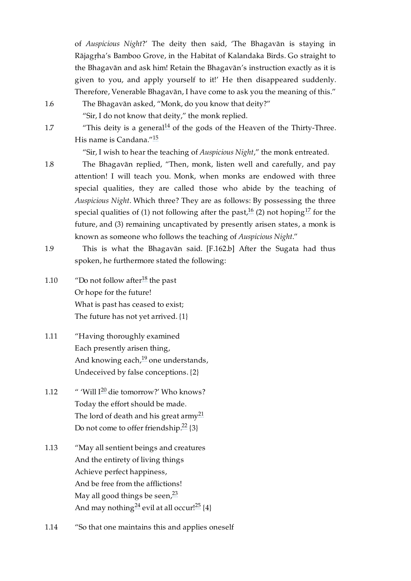of *Auspicious Night*?' The deity then said, 'The Bhagavān is staying in Rājagṛha's Bamboo Grove, in the Habitat of Kalandaka Birds. Go straight to the Bhagavān and ask him! Retain the Bhagavān's instruction exactly as it is given to you, and apply yourself to it!' He then disappeared suddenly. Therefore, Venerable Bhagavān, I have come to ask you the meaning of this."

The Bhagavān asked, "Monk, do you know that deity?"

<span id="page-16-9"></span>"Sir, I do not know that deity," the monk replied.

"This deity is a general $14 \text{ of the gods}$  $14 \text{ of the gods}$  of the Heaven of the Thirty-Three. His name is Candana."<sup>[15](#page-23-9)</sup>

<span id="page-16-12"></span><span id="page-16-11"></span><span id="page-16-10"></span>"Sir, I wish to hear the teaching of *Auspicious Night*," the monk entreated.

The Bhagavān replied, "Then, monk, listen well and carefully, and pay attention! I will teach you. Monk, when monks are endowed with three special qualities, they are called those who abide by the teaching of *Auspicious Night*. Which three? They are as follows: By possessing the three special qualities of (1) not following after the past, $^{16}$  $^{16}$  $^{16}$  (2) not hoping $^{17}$  $^{17}$  $^{17}$  for the future, and (3) remaining uncaptivated by presently arisen states, a monk is known as someone who follows the teaching of *Auspicious Night*."

<span id="page-16-3"></span>This is what the Bhagavān said. [\[F.162.b\]](https://translator:gzungs@read.84000-translate.org/source/toh313.html?ref-index=3#ajax-source) After the Sugata had thus spoken, he furthermore stated the following: [1.9](#page-16-3)

<span id="page-16-13"></span><span id="page-16-4"></span>"Do not follow after $^{18}$  $^{18}$  $^{18}$  the past Or hope for the future! What is past has ceased to exist; The future has not yet arrived. {1} [1.10](#page-16-4)

<span id="page-16-0"></span>[1.6](#page-16-0)

<span id="page-16-1"></span>[1.7](#page-16-1)

<span id="page-16-2"></span>[1.8](#page-16-2)

- <span id="page-16-14"></span><span id="page-16-5"></span>"Having thoroughly examined Each presently arisen thing, And knowing each, $^{19}$  $^{19}$  $^{19}$  one understands, Undeceived by false conceptions. {2} [1.11](#page-16-5)
- <span id="page-16-16"></span><span id="page-16-15"></span><span id="page-16-6"></span> $\mathrm{``'}$  'Will I $\mathrm{^{20}}$  $\mathrm{^{20}}$  $\mathrm{^{20}}$  die tomorrow?' Who knows? Today the effort should be made. The lord of death and his great army<sup>[21](#page-25-2)</sup> Do not come to offer friendship. $^{22}$  $^{22}$  $^{22}$  {3} [1.12](#page-16-6)
- <span id="page-16-17"></span><span id="page-16-7"></span>"May all sentient beings and creatures And the entirety of living things Achieve perfect happiness, And be free from the afflictions! May all good things be seen,<sup>[23](#page-25-4)</sup> And may nothing $^{24}$  $^{24}$  $^{24}$  evil at all occur! $^{25}$  $^{25}$  $^{25}$  {4} [1.13](#page-16-7)
- <span id="page-16-20"></span><span id="page-16-19"></span><span id="page-16-18"></span><span id="page-16-8"></span>"So that one maintains this and applies oneself [1.14](#page-16-8)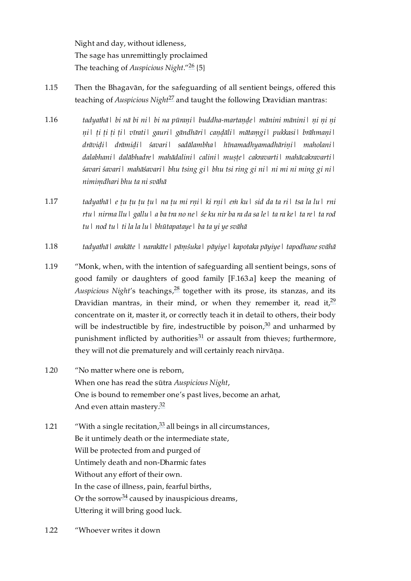<span id="page-17-9"></span><span id="page-17-8"></span>Night and day, without idleness, The sage has unremittingly proclaimed The teaching of *Auspicious Night*."<sup>[26](#page-25-7)</sup> {5}

- <span id="page-17-0"></span>Then the Bhagavān, for the safeguarding of all sentient beings, offered this teaching of *Auspicious Night<sup>[27](#page-25-8)</sup>* and taught the following Dravidian mantras: [1.15](#page-17-0)
- <span id="page-17-1"></span>*tadyathā| bi nā bi ni| bi na pūraṇi| buddha-martaṇḍe| mānini mānini| ṇi ṇi ṇi ṇi| ṭi ṭi ṭi ṭi| vīrati| gauri| gāndhāri| caṇḍāli| mātaṃgi| pukkasi| brāhmaṇi| drāviḍi| drāmiḍi| śavari| sadālambha| hīnamadhyamadhāriṇi| maholani| dalabhani| dalābhadre| mahādalini| calini| muṣṭe| cakravarti| mahācakravarti| śavari śavari| mahāśavari| bhu tsing gi| bhu tsi ring gi ni| ni mi ni ming gi ni| nimiṃdhari bhu ta ni svāhā* [1.16](#page-17-1)
- <span id="page-17-2"></span>tadyathāl e tu tu tu tul na tu mi rnil ki rnil em kul sid da ta ril tsa la lul rni rtu | nirma llu | gallu | a ba tra no ne | śe ku nir ba ra da sa le | ta ra ke | ta re | ta rod *tu| nod tu| ti la la lu| bhūtapataye| ba ta yi ye svāhā* [1.17](#page-17-2)
- <span id="page-17-3"></span>*tadyathā| arakāte | narakāte| pāṃśuka| pāyiye| kapotaka pāyiye| tapodhane svāhā* [1.18](#page-17-3)
- <span id="page-17-11"></span><span id="page-17-10"></span><span id="page-17-4"></span>"Monk, when, with the intention of safeguarding all sentient beings, sons of good family or daughters of good family [\[F.163.a\]](https://translator:gzungs@read.84000-translate.org/source/toh313.html?ref-index=4#ajax-source) keep the meaning of Auspicious Night's teachings,  $^{28}$  $^{28}$  $^{28}$  together with its prose, its stanzas, and its Dravidian mantras, in their mind, or when they remember it, read it,  $29$ concentrate on it, master it, or correctly teach it in detail to others, their body will be indestructible by fire, indestructible by poison, $30$  and unharmed by punishment inflicted by authorities<sup>[31](#page-25-12)</sup> or assault from thieves; furthermore, they will not die prematurely and will certainly reach nirvāṇa. [1.19](#page-17-4)
- <span id="page-17-13"></span><span id="page-17-12"></span><span id="page-17-5"></span>"No matter where one is reborn, When one has read the sūtra *Auspicious Night*, One is bound to remember one's past lives, become an arhat, And even attain mastery.<sup>[32](#page-26-0)</sup> [1.20](#page-17-5)

<span id="page-17-15"></span><span id="page-17-14"></span><span id="page-17-6"></span>"With a single recitation, $33$  all beings in all circumstances, Be it untimely death or the intermediate state, Will be protected from and purged of Untimely death and non-Dharmic fates Without any effort of their own. In the case of illness, pain, fearful births, Or the sorrow<sup>[34](#page-26-2)</sup> caused by inauspicious dreams, Uttering it will bring good luck. [1.21](#page-17-6)

<span id="page-17-16"></span><span id="page-17-7"></span>"Whoever writes it down [1.22](#page-17-7)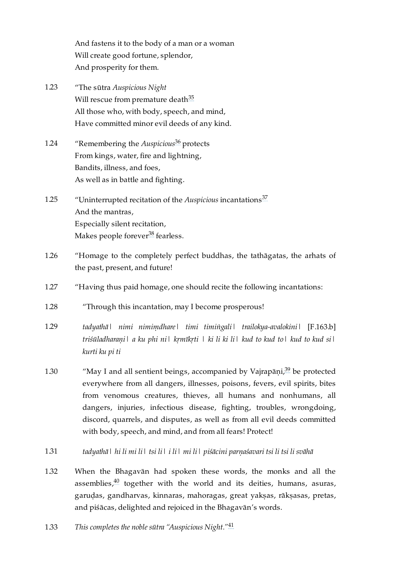<span id="page-18-11"></span>And fastens it to the body of a man or a woman Will create good fortune, splendor, And prosperity for them.

- <span id="page-18-0"></span>"The sūtra *Auspicious Night* Will rescue from premature death<sup>[35](#page-26-3)</sup> All those who, with body, speech, and mind, Have committed minor evil deeds of any kind. [1.23](#page-18-0)
- <span id="page-18-12"></span><span id="page-18-1"></span>"Remembering the *Auspicious*<sup>[36](#page-26-4)</sup> protects From kings, water, fire and lightning, Bandits, illness, and foes, As well as in battle and fighting. [1.24](#page-18-1)
- <span id="page-18-13"></span><span id="page-18-2"></span>"Uninterrupted recitation of the *Auspicious* incantations [37](#page-26-5) And the mantras, Especially silent recitation, Makes people forever<sup>[38](#page-26-6)</sup> fearless. [1.25](#page-18-2)
- <span id="page-18-14"></span><span id="page-18-3"></span>"Homage to the completely perfect buddhas, the tathāgatas, the arhats of the past, present, and future! [1.26](#page-18-3)
- <span id="page-18-4"></span>"Having thus paid homage, one should recite the following incantations: [1.27](#page-18-4)
- <span id="page-18-5"></span>"Through this incantation, may I become prosperous! [1.28](#page-18-5)
- <span id="page-18-6"></span>*tadyathā| nimi nimiṃdhare| timi timiṅgali| trailokya-avalokini|* [\[F.163.b\]](https://translator:gzungs@read.84000-translate.org/source/toh313.html?ref-index=5#ajax-source) *triśūladharaṇi| a ku phi ni| kṛmīkṛti | ki li ki li| kud to kud to| kud to kud si| kurti ku pi ti* [1.29](#page-18-6)
- <span id="page-18-15"></span><span id="page-18-7"></span>"May I and all sentient beings, accompanied by Vajrapāṇi, $39$  be protected everywhere from all dangers, illnesses, poisons, fevers, evil spirits, bites from venomous creatures, thieves, all humans and nonhumans, all dangers, injuries, infectious disease, fighting, troubles, wrongdoing, discord, quarrels, and disputes, as well as from all evil deeds committed with body, speech, and mind, and from all fears! Protect! [1.30](#page-18-7)
- <span id="page-18-8"></span>*tadyathā| hi li mi li| tsi li| i li| mi li| piśācini parṇaśavari tsi li tsi li svāhā* [1.31](#page-18-8)
- <span id="page-18-16"></span><span id="page-18-9"></span>When the Bhagavān had spoken these words, the monks and all the assemblies, $40$  together with the world and its deities, humans, asuras, garudas, gandharvas, kinnaras, mahoragas, great yaksas, rāksasas, pretas, and piśācas, delighted and rejoiced in the Bhagavān's words. [1.32](#page-18-9)
- <span id="page-18-17"></span><span id="page-18-10"></span>*This completes the noble sūtra "Auspicious Night."* [41](#page-26-9) [1.33](#page-18-10)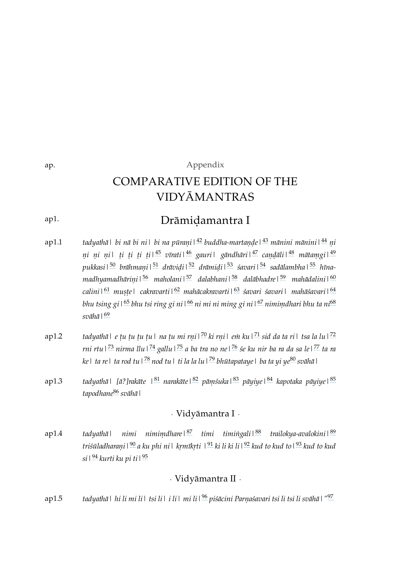# <span id="page-19-20"></span><span id="page-19-19"></span><span id="page-19-14"></span><span id="page-19-13"></span><span id="page-19-12"></span><span id="page-19-11"></span><span id="page-19-10"></span><span id="page-19-9"></span>Appendix COMPARATIVE EDITION OF THE VIDYĀMANTRAS

#### <span id="page-19-1"></span>Drāmiḍamantra I [ap1.](#page-19-1)

- <span id="page-19-23"></span><span id="page-19-18"></span><span id="page-19-17"></span><span id="page-19-4"></span>*tadyathā| bi nā bi ni| bi na pūraṇi| buddha-martaṇḍe| mānini mānini| ṇi* [42](#page-27-0) [43](#page-27-1) [44](#page-27-2) *ṇi ṇi ṇi| ṭi ṭi ṭi ṭi| vīrati| gauri| gāndhāri| caṇḍāli| mātaṃgi|* [45](#page-27-3) [46](#page-27-4) [47](#page-27-5) [48](#page-27-6) [49](#page-27-7) *pukkasi| brāhmaṇi| drāviḍi| drāmiḍi| śavari| sadālambha| hīna-*[50](#page-27-8) [51](#page-27-9) [52](#page-27-10) [53](#page-27-11) [54](#page-27-12) [55](#page-27-13) *madhyamadhāriṇi| maholani| dalabhani| dalābhadre| mahādalini|* [56](#page-27-14) [57](#page-27-15) [58](#page-27-16) [59](#page-27-17) [60](#page-28-0) *calini| muṣṭe| cakravarti| mahācakravarti| śavari śavari| mahāśavari|* [61](#page-28-1) [62](#page-28-2) [63](#page-28-3) [64](#page-28-4) *bhu tsing gi| bhu tsi ring gi ni| ni mi ni ming gi ni| nimiṃdhari bhu ta ni* [65](#page-28-5) [66](#page-28-6) [67](#page-28-7) [68](#page-28-8) *svāhā|* [69](#page-28-9) [ap1.1](#page-19-4)
- <span id="page-19-40"></span><span id="page-19-36"></span><span id="page-19-32"></span><span id="page-19-28"></span><span id="page-19-5"></span>tadyathā| e ṭu ṭu ṭu ṭu| na ṭu mi rṇi|<sup>[70](#page-28-10)</sup> ki rṇi| eṁ ku|<sup>[71](#page-28-11)</sup> sid da ta ri| tsa la lu|<sup>[72](#page-28-12)</sup> rni rtu | <sup>[73](#page-28-13)</sup> nirma llu | <sup>[74](#page-28-14)</sup> gallu | <sup>[75](#page-28-15)</sup> a ba tra no ne | <sup>[76](#page-28-16)</sup> śe ku nir ba ra da sa le | <sup>[77](#page-28-17)</sup> ta ra *ke| ta re| ta rod tu| nod tu| ti la la lu| bhūtapataye| ba ta yi ye svāhā|* [78](#page-28-18) [79](#page-29-0) [80](#page-29-1) [ap1.2](#page-19-5)
- <span id="page-19-6"></span>*tadyathā| [ā?]rakāte | narakāte| pāṃśuka| pāyiye| kapotaka pāyiye|* [81](#page-29-2) [82](#page-29-3) [83](#page-29-4) [84](#page-29-5) [85](#page-29-6) *tapodhane svāhā|* [86](#page-29-7) [ap1.3](#page-19-6)

## <span id="page-19-60"></span><span id="page-19-59"></span><span id="page-19-58"></span><span id="page-19-56"></span><span id="page-19-55"></span><span id="page-19-54"></span><span id="page-19-53"></span><span id="page-19-52"></span><span id="page-19-51"></span><span id="page-19-50"></span><span id="page-19-49"></span><span id="page-19-48"></span><span id="page-19-47"></span><span id="page-19-46"></span><span id="page-19-45"></span><span id="page-19-44"></span><span id="page-19-43"></span><span id="page-19-42"></span><span id="page-19-41"></span><span id="page-19-39"></span><span id="page-19-38"></span><span id="page-19-37"></span><span id="page-19-35"></span><span id="page-19-34"></span><span id="page-19-33"></span><span id="page-19-31"></span><span id="page-19-30"></span><span id="page-19-29"></span><span id="page-19-27"></span><span id="page-19-26"></span><span id="page-19-25"></span><span id="page-19-24"></span><span id="page-19-22"></span><span id="page-19-21"></span><span id="page-19-16"></span><span id="page-19-15"></span>· Vidyāmantra I ·

<span id="page-19-61"></span><span id="page-19-7"></span><span id="page-19-2"></span>*tadyathā| nimi nimiṃdhare| timi timiṅgali| trailokya-avalokini|* [87](#page-29-8) [88](#page-29-9) [89](#page-29-10) *triśūladharaṇi| a ku phi ni| kṛmīkṛti | ki li ki li| kud to kud to| kud to kud* [90](#page-29-11) [91](#page-29-12) [92](#page-29-13) [93](#page-29-14) *si* | <sup>[94](#page-29-15)</sup> kurti ku pi ti | <sup>[95](#page-29-16)</sup> [ap1.4](#page-19-7)

## <span id="page-19-64"></span><span id="page-19-63"></span><span id="page-19-62"></span><span id="page-19-57"></span>· Vidyāmantra II ·

<span id="page-19-8"></span><span id="page-19-3"></span>*tadyathā| hi li mi li| tsi li| i li| mi li| piśācini Parṇaśavari tsi li tsi li svāhā|"* [96](#page-29-17) [97](#page-30-0) [ap1.5](#page-19-8)

<span id="page-19-0"></span>[ap.](#page-19-0)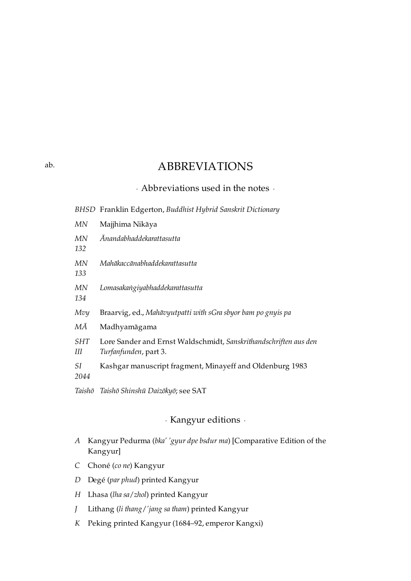## ABBREVIATIONS

## · Abbreviations used in the notes ·

*BHSD* Franklin Edgerton, *Buddhist Hybrid Sanskrit Dictionary*

*MN* Majjhima Nikāya *MN 132 Ānandabhaddekarattasutta MN 133 Mahākaccānabhaddekarattasutta MN 134 Lomasakaṅgiyabhaddekarattasutta Mvy* Braarvig, ed., *Mahāvyutpatti with sGra sbyor bam po gnyis pa MĀ* Madhyamāgama *SHT III* Lore Sander and Ernst Waldschmidt, *Sanskrithandschriften aus den Turfanfunden*, part 3. *SI 2044* Kashgar manuscript fragment, Minayeff and Oldenburg 1983 *Taishō Taishō Shinshū Daizōkyō*; see SAT

## · Kangyur editions ·

- <span id="page-20-2"></span>*A* Kangyur Pedurma (*bka' 'gyur dpe bsdur ma*) [Comparative Edition of the Kangyur]
- *C* Choné (*co ne*) Kangyur
- *D* Degé (*par phud*) printed Kangyur
- *H* Lhasa (*lha sa*/*zhol*) printed Kangyur
- *J* Lithang (*li thang*/*'jang sa tham*) printed Kangyur
- *K* Peking printed Kangyur (1684–92, emperor Kangxi)

<span id="page-20-1"></span><span id="page-20-0"></span>[ab.](#page-20-0)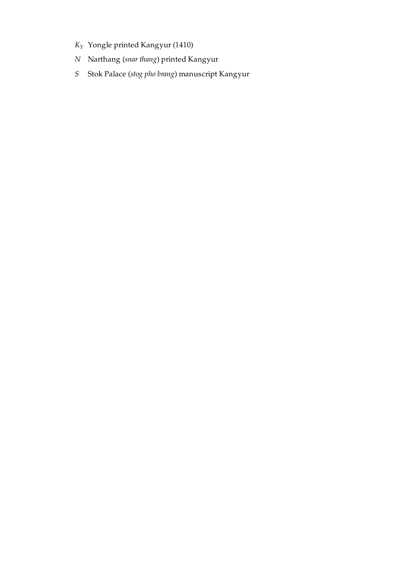- *K* Yongle printed Kangyur (1410) *Y*
- *N* Narthang (*snar thang*) printed Kangyur
- *S* Stok Palace (*stog pho brang*) manuscript Kangyur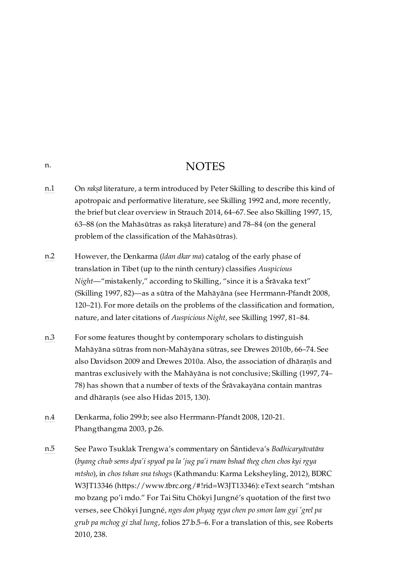## NOTES

- <span id="page-22-1"></span>[n.1](#page-9-4) On *rakṣā* literature, a term introduced by Peter Skilling to describe this kind of apotropaic and performative literature, see Skilling 1992 and, more recently, the brief but clear overview in Strauch 2014, 64–67. See also Skilling 1997, 15, 63–88 (on the Mahāsūtras as rakṣā literature) and 78–84 (on the general problem of the classification of the Mahāsūtras).
- <span id="page-22-2"></span>[n.2](#page-9-5) However, the Denkarma (*ldan dkar ma*) catalog of the early phase of translation in Tibet (up to the ninth century) classifies *Auspicious Night*—"mistakenly," according to Skilling, "since it is a Śrāvaka text" (Skilling 1997, 82)—as a sūtra of the Mahāyāna (see Herrmann-Pfandt 2008, 120–21). For more details on the problems of the classification and formation, nature, and later citations of *Auspicious Night*, see Skilling 1997, 81–84.
- <span id="page-22-3"></span>[n.3](#page-9-6) For some features thought by contemporary scholars to distinguish Mahāyāna sūtras from non-Mahāyāna sūtras, see Drewes 2010b, 66–74. See also Davidson 2009 and Drewes 2010a. Also, the association of dhāraṇīs and mantras exclusively with the Mahāyāna is not conclusive; Skilling (1997, 74– 78) has shown that a number of texts of the Śrāvakayāna contain mantras and dhāraṇīs (see also Hidas 2015, 130).
- <span id="page-22-4"></span>[n.4](#page-9-7) Denkarma, folio 299.b; see also Herrmann-Pfandt 2008, 120-21. Phangthangma 2003, p.26.
- <span id="page-22-5"></span>[n.5](#page-10-4) See Pawo Tsuklak Trengwa's commentary on Śāntideva's *Bodhicaryāvatāra* (*byang chub sems dpa'i spyod pa la 'jug pa'i rnam bshad theg chen chos kyi rgya mtsho*), in *chos tshan sna tshogs* (Kathmandu: Karma Leksheyling, 2012), BDRC W3JT13346 [\(https://www.tbrc.org/#!rid=W3JT13346\):](https://www.tbrc.org/#!rid=W3JT13346) eText search "mtshan mo bzang po'i mdo." For Tai Situ Chökyi Jungné's quotation of the first two verses, see Chökyi Jungné, *nges don phyag rgya chen po smon lam gyi 'grel pa grub pa mchog gi zhal lung*, folios 27.b.5–6. For a translation of this, see Roberts 2010, 238.

<span id="page-22-0"></span>[n.](#page-22-0)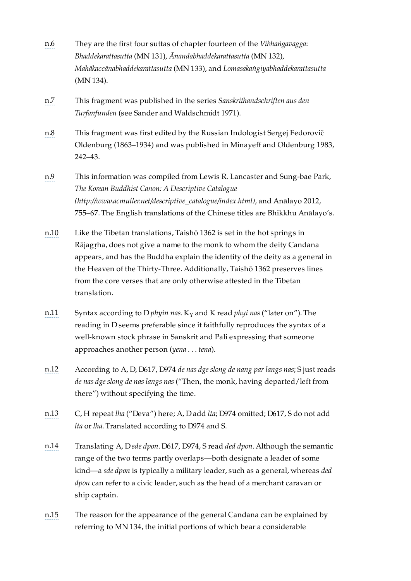- <span id="page-23-0"></span>[n.6](#page-10-5) They are the first four suttas of chapter fourteen of the *Vibhaṅgavagga*: *Bhaddekarattasutta* (MN 131), *Ānandabhaddekarattasutta* (MN 132), *Mahākaccānabhaddekarattasutta* (MN 133), and *Lomasakaṅgiyabhaddekarattasutta* (MN 134).
- <span id="page-23-1"></span>[n.7](#page-11-5) This fragment was published in the series *Sanskrithandschriften aus den Turfanfunden* (see Sander and Waldschmidt 1971).
- <span id="page-23-2"></span>[n.8](#page-11-6) This fragment was first edited by the Russian Indologist Sergej Fedorovič Oldenburg (1863–1934) and was published in Minayeff and Oldenburg 1983, 242–43.
- <span id="page-23-3"></span>[n.9](#page-12-4) This information was compiled from Lewis R. Lancaster and Sung-bae Park, *The Korean Buddhist Canon: A Descriptive Catalogue [\(http://www.acmuller.net/descriptive\\_catalogue/index.html\)](http://www.acmuller.net/descriptive_catalogue/index.html)*, and Anālayo 2012, 755–67. The English translations of the Chinese titles are Bhikkhu Anālayo's.
- <span id="page-23-4"></span>[n.10](#page-12-5) Like the Tibetan translations, Taishō 1362 is set in the hot springs in Rājagṛha, does not give a name to the monk to whom the deity Candana appears, and has the Buddha explain the identity of the deity as a general in the Heaven of the Thirty-Three. Additionally, Taishō 1362 preserves lines from the core verses that are only otherwise attested in the Tibetan translation.
- <span id="page-23-5"></span>[n.11](#page-15-6) Syntax according to D  $phy$  *n* as. K  $_Y$  and K read  $phyi$  *nas* ("later on"). The reading in D seems preferable since it faithfully reproduces the syntax of a well-known stock phrase in Sanskrit and Pali expressing that someone approaches another person (*yena . . . tena*).
- <span id="page-23-6"></span>[n.12](#page-15-7) According to A, D, D617, D974 *de nas dge slong de nang par langs nas*; S just reads *de nas dge slong de nas langs nas* ("Then, the monk, having departed/left from there") without specifying the time.
- <span id="page-23-7"></span>[n.13](#page-15-8) C, H repeat *lha* ("Deva") here; A, D add *lta*; D974 omitted; D617, S do not add *lta* or *lha*. Translated according to D974 and S.
- <span id="page-23-8"></span>[n.14](#page-16-9) Translating A, D *sde dpon*. D617, D974, S read *ded dpon*. Although the semantic range of the two terms partly overlaps—both designate a leader of some kind—a *sde dpon* is typically a military leader, such as a general, whereas *ded dpon* can refer to a civic leader, such as the head of a merchant caravan or ship captain.
- <span id="page-23-9"></span>[n.15](#page-16-10) The reason for the appearance of the general Candana can be explained by referring to MN 134, the initial portions of which bear a considerable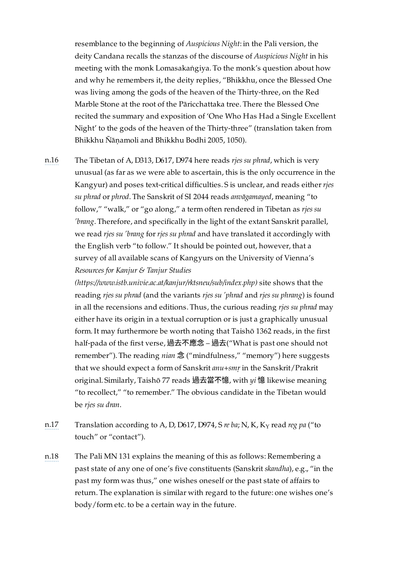resemblance to the beginning of *Auspicious Night*: in the Pali version, the deity Candana recalls the stanzas of the discourse of *Auspicious Night* in his meeting with the monk Lomasakaṅgiya. To the monk's question about how and why he remembers it, the deity replies, "Bhikkhu, once the Blessed One was living among the gods of the heaven of the Thirty-three, on the Red Marble Stone at the root of the Pāricchattaka tree. There the Blessed One recited the summary and exposition of 'One Who Has Had a Single Excellent Night' to the gods of the heaven of the Thirty-three" (translation taken from Bhikkhu Ñāṇamoli and Bhikkhu Bodhi 2005, 1050).

<span id="page-24-0"></span>[n.16](#page-16-11) The Tibetan of A, D313, D617, D974 here reads *rjes su phrad*, which is very unusual (as far as we were able to ascertain, this is the only occurrence in the Kangyur) and poses text-critical difficulties. S is unclear, and reads either *rjes su phrad* or *phrod*. The Sanskrit of SI 2044 reads *anvāgamayed*, meaning "to follow," "walk," or "go along," a term often rendered in Tibetan as *rjes su 'brang*. Therefore, and specifically in the light of the extant Sanskrit parallel, we read *rjes su 'brang* for *rjes su phrad* and have translated it accordingly with the English verb "to follow." It should be pointed out, however, that a survey of all available scans of Kangyurs on the University of Vienna's *Resources for Kanjur & Tanjur Studies*

> *[\(https://www.istb.univie.ac.at/kanjur/rktsneu/sub/index.php\)](https://www.istb.univie.ac.at/kanjur/rktsneu/sub/index.php)* site shows that the reading *rjes su phrad* (and the variants *rjes su 'phrad* and *rjes su phrang*) is found in all the recensions and editions. Thus, the curious reading *rjes su phrad* may either have its origin in a textual corruption or is just a graphically unusual form. It may furthermore be worth noting that Taishō 1362 reads, in the first half-pada of the first verse, 過去不應念 – 過去("What is past one should not remember"). The reading *nian* 念 ("mindfulness," "memory") here suggests that we should expect a form of Sanskrit *anu*+*smṛ* in the Sanskrit/Prakrit original. Similarly, Taishō 77 reads 過去當不憶, with *yi* 憶 likewise meaning "to recollect," "to remember." The obvious candidate in the Tibetan would be *rjes su dran*.

- <span id="page-24-1"></span>[n.17](#page-16-12) Translation according to A, D, D617, D974, S*re ba*; N, K, K<sub>Y</sub> read *reg pa* ("to touch" or "contact").
- <span id="page-24-2"></span>[n.18](#page-16-13) The Pali MN 131 explains the meaning of this as follows: Remembering a past state of any one of one's five constituents (Sanskrit *skandha*), e.g., "in the past my form was thus," one wishes oneself or the past state of affairs to return. The explanation is similar with regard to the future: one wishes one's body/form etc. to be a certain way in the future.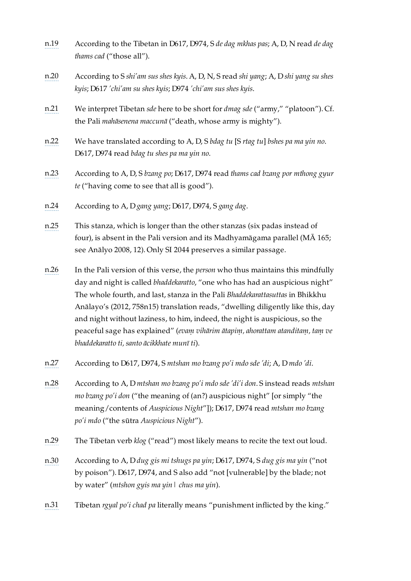- <span id="page-25-0"></span>[n.19](#page-16-14) According to the Tibetan in D617, D974, S *de dag mkhas pas*; A, D, N read *de dag thams cad* ("those all").
- <span id="page-25-1"></span>[n.20](#page-16-15) According to S *shi'am sus shes kyis*. A, D, N, S read *shi yang*; A, D *shi yang su shes kyis*; D617 *'chi'am su shes kyis*; D974 *'chi'am sus shes kyis*.
- <span id="page-25-2"></span>[n.21](#page-16-16) We interpret Tibetan *sde* here to be short for *dmag sde* ("army," "platoon"). Cf. the Pali *mahāsenena maccunā* ("death, whose army is mighty").
- <span id="page-25-3"></span>[n.22](#page-16-17) We have translated according to A, D, S *bdag tu* [S *rtag tu*] *bshes pa ma yin no*. D617, D974 read *bdag tu shes pa ma yin no*.
- <span id="page-25-4"></span>[n.23](#page-16-18) According to A, D, S *bzang po*; D617, D974 read *thams cad bzang por mthong gyur te* ("having come to see that all is good").
- <span id="page-25-5"></span>[n.24](#page-16-19) According to A, D *gang yang*; D617, D974, S *gang dag*.
- <span id="page-25-6"></span>[n.25](#page-16-20) This stanza, which is longer than the other stanzas (six padas instead of four), is absent in the Pali version and its Madhyamāgama parallel (MĀ 165; see Anālyo 2008, 12). Only SI 2044 preserves a similar passage.
- <span id="page-25-7"></span>[n.26](#page-17-8) In the Pali version of this verse, the *person* who thus maintains this mindfully day and night is called *bhaddekaratto*, "one who has had an auspicious night" The whole fourth, and last, stanza in the Pali *Bhaddekarattasuttas* in Bhikkhu Anālayo's (2012, 758n15) translation reads, "dwelling diligently like this, day and night without laziness, to him, indeed, the night is auspicious, so the peaceful sage has explained" (*evaṃ vihārim ātapiṃ, ahorattam atanditaṃ, taṃ ve bhaddekaratto ti, santo ācikkhate munī ti*).
- <span id="page-25-8"></span>[n.27](#page-17-9) According to D617, D974, S *mtshan mo bzang po'i mdo sde 'di*; A, D *mdo 'di*.
- <span id="page-25-9"></span>[n.28](#page-17-10) According to A, D *mtshan mo bzang po'i mdo sde 'di'i don*. S instead reads *mtshan mo bzang po'i don* ("the meaning of (an?) auspicious night" [or simply "the meaning/contents of *Auspicious Night*"]); D617, D974 read *mtshan mo bzang po'i mdo* ("the sūtra *Auspicious Night*").
- <span id="page-25-10"></span>[n.29](#page-17-11) The Tibetan verb *klog* ("read") most likely means to recite the text out loud.
- <span id="page-25-11"></span>[n.30](#page-17-12) According to A, D *dug gis mi tshugs pa yin*; D617, D974, S *dug gis ma yin* ("not by poison"). D617, D974, and S also add "not [vulnerable] by the blade; not by water" (*mtshon gyis ma yin| chus ma yin*).
- <span id="page-25-12"></span>[n.31](#page-17-13) Tibetan *rgyal po'i chad pa* literally means "punishment inflicted by the king."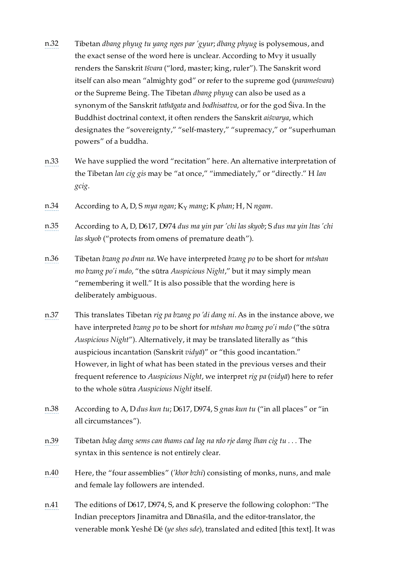- <span id="page-26-0"></span>[n.32](#page-17-14) Tibetan *dbang phyug tu yang nges par 'gyur*; *dbang phyug* is polysemous, and the exact sense of the word here is unclear. According to Mvy it usually renders the Sanskrit *īśvara* ("lord, master; king, ruler"). The Sanskrit word itself can also mean "almighty god" or refer to the supreme god (*parameśvara*) or the Supreme Being. The Tibetan *dbang phyug* can also be used as a synonym of the Sanskrit *tathāgata* and *bodhisattva*, or for the god Śiva. In the Buddhist doctrinal context, it often renders the Sanskrit *aiśvarya*, which designates the "sovereignty," "self-mastery," "supremacy," or "superhuman powers" of a buddha.
- <span id="page-26-1"></span>[n.33](#page-17-15) We have supplied the word "recitation" here. An alternative interpretation of the Tibetan *lan cig gis* may be "at once," "immediately," or "directly." H *lan gcig*.
- <span id="page-26-2"></span>[n.34](#page-17-16) According to A, D, S *mya ngan*; K *mang*; K *phan*; H, N *ngam*. Y
- <span id="page-26-3"></span>[n.35](#page-18-11) According to A, D, D617, D974 *dus ma yin par 'chi las skyob*; S *dus ma yin ltas 'chi las skyob* ("protects from omens of premature death").
- <span id="page-26-4"></span>[n.36](#page-18-12) Tibetan *bzang po dran na*. We have interpreted *bzang po* to be short for *mtshan mo bzang po'i mdo*, "the sūtra *Auspicious Night*," but it may simply mean "remembering it well." It is also possible that the wording here is deliberately ambiguous.
- <span id="page-26-5"></span>[n.37](#page-18-13) This translates Tibetan *rig pa bzang po 'di dang ni*. As in the instance above, we have interpreted *bzang po* to be short for *mtshan mo bzang po'i mdo* ("the sūtra *Auspicious Night*"). Alternatively, it may be translated literally as "this auspicious incantation (Sanskrit *vidyā*)" or "this good incantation." However, in light of what has been stated in the previous verses and their frequent reference to *Auspicious Night*, we interpret *rig pa* (*vidyā*) here to refer to the whole sūtra *Auspicious Night* itself.
- <span id="page-26-6"></span>[n.38](#page-18-14) According to A, D *dus kun tu*; D617, D974, S *gnas kun tu* ("in all places" or "in all circumstances").
- <span id="page-26-7"></span>[n.39](#page-18-15) Tibetan *bdag dang sems can thams cad lag na rdo rje dang lhan cig tu . . .* The syntax in this sentence is not entirely clear.
- <span id="page-26-8"></span>[n.40](#page-18-16) Here, the "four assemblies" (*'khor bzhi*) consisting of monks, nuns, and male and female lay followers are intended.
- <span id="page-26-9"></span>[n.41](#page-18-17) The editions of D617, D974, S, and K preserve the following colophon: "The Indian preceptors Jinamitra and Dānaśīla, and the editor-translator, the venerable monk Yeshé Dé (*ye shes sde*), translated and edited [this text]. It was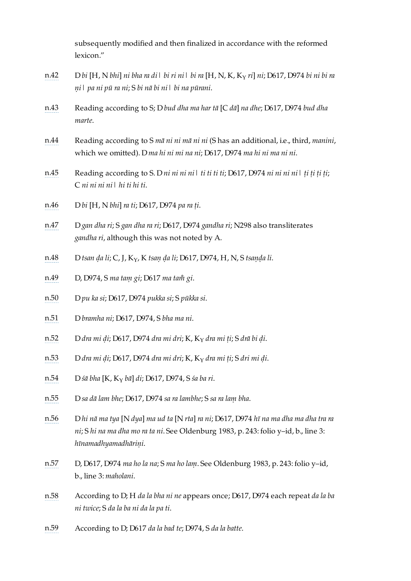subsequently modified and then finalized in accordance with the reformed lexicon."

- <span id="page-27-0"></span>[n.42](#page-19-9) D *bi* [H, N *bhi*] *ni bha ra di| bi ri ni| bi ra* [H, N, K, K *ri*] *ni*; D617, D974 *bi ni bi ra* Y *ṇi| pa ni pū ra ni*; S *bi nā bi ni| bi na pūrani*.
- <span id="page-27-1"></span>[n.43](#page-19-10) Reading according to S; D *bud dha ma har tā* [C *dā*] *na dhe*; D617, D974 *bud dha marte*.
- <span id="page-27-2"></span>[n.44](#page-19-11) Reading according to S *mā ni ni mā ni ni* (S has an additional, i.e., third, *manini*, which we omitted). D *ma hi ni mi na ni*; D617, D974 *ma hi ni ma ni ni*.
- <span id="page-27-3"></span>[n.45](#page-19-12) Reading according to S. D *ni ni ni ni ti ti ti*; D617, D974 *ni ni ni ni ti ti ti*; C *ni ni ni ni| hi ti hi ti*.
- <span id="page-27-4"></span>[n.46](#page-19-13) D *bi* [H, N *bhi*] *ra ti*; D617, D974 *pa ra ṭi*.
- <span id="page-27-5"></span>[n.47](#page-19-14) D *gan dha ri*; S *gan dha ra ri*; D617, D974 *gandha ri*; N298 also transliterates *gandha ri*, although this was not noted by A.
- <span id="page-27-6"></span>[n.48](#page-19-15) D *tsan ḍa li*; C, J, K , K *tsaṇ ḍa li*; D617, D974, H, N, S *tsaṇḍa li*. Y
- <span id="page-27-7"></span>[n.49](#page-19-16) D, D974, S *ma taṃ gi*; D617 *ma ta gi*.
- <span id="page-27-8"></span>[n.50](#page-19-17) D *pu ka si*; D617, D974 *pukka si*; S *pūkka si*.
- <span id="page-27-9"></span>[n.51](#page-19-18) D *bramha ni*; D617, D974, S *bha ma ni*.
- <span id="page-27-10"></span>[n.52](#page-19-19) D *dra mi ḍi*; D617, D974 *dra mi dri*; K, K *dra mi ṭi*; S *drā bi ḍi*. Y
- <span id="page-27-11"></span>[n.53](#page-19-20) D *dra mi ḍi*; D617, D974 *dra mi dri*; K, K *dra mi ṭi*; S *dri mi ḍi*. Y
- <span id="page-27-12"></span>[n.54](#page-19-21) D *śā bha* [K, K *bā*] *di*; D617, D974, S *śa ba ri*. Y
- <span id="page-27-13"></span>[n.55](#page-19-22) D *sa dā lam bhe*; D617, D974 *sa ra lambhe*; S *sa ra laṃ bha*.
- <span id="page-27-14"></span>[n.56](#page-19-23) D *hi nā ma tya* [N *dya*] *ma ud ta* [N *rta*] *ra ni*; D617, D974 *hī na ma dha ma dha tra ra ni*; S *hi na ma dha mo ra ta ni*. See Oldenburg 1983, p. 243: folio y–id, b., line 3: *hīnamadhyamadhāriṇi*.
- <span id="page-27-15"></span>[n.57](#page-19-24) D, D617, D974 *ma ho la na*; S *ma ho laṃ*. See Oldenburg 1983, p. 243: folio y–id, b., line 3: *maholani*.
- <span id="page-27-16"></span>[n.58](#page-19-25) According to D; H *da la bha ni ne* appears once; D617, D974 each repeat *da la ba ni twice*; S *da la ba ni da la pa ti*.
- <span id="page-27-17"></span>[n.59](#page-19-26) According to D; D617 *da la bad te*; D974, S *da la batte*.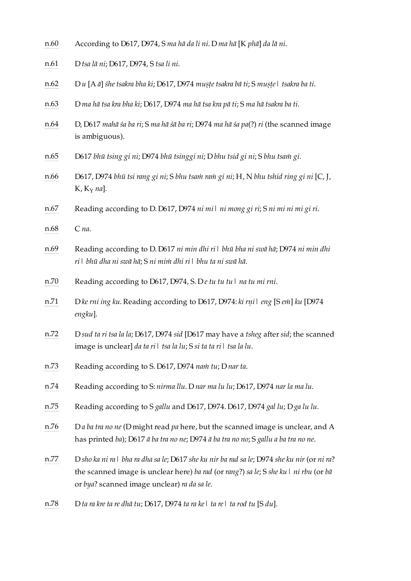- <span id="page-28-0"></span>[n.60](#page-19-27) According to D617, D974, S *ma hā da li ni*. D *ma hā* [K *phā*] *da lā ni*.
- <span id="page-28-1"></span>[n.61](#page-19-28) D *tsa lā ni*; D617, D974, S *tsa li ni*.
- <span id="page-28-2"></span>[n.62](#page-19-29) D *u* [A *ā*] *śhe tsakra bha ki*; D617, D974 *muṣṭe tsakra bā ti*; S *muṣṭe| tsakra ba ti*.
- <span id="page-28-3"></span>[n.63](#page-19-30) D *ma hā tsa kra bha ki*; D617, D974 *ma hā tsa kra pā ti*; S *ma hā tsakra ba ti*.
- <span id="page-28-4"></span>[n.64](#page-19-31) D, D617 *mahā śa ba ri*; S *ma hā śā ba ri*; D974 *ma hā śa pa*(?) *ri* (the scanned image is ambiguous).
- <span id="page-28-5"></span>[n.65](#page-19-32) D617 *bhū tsing gi ni*; D974 *bhū tsinggi ni*; D *bhu tsid gi ni*; S *bhu tsaṁ gi*.
- <span id="page-28-6"></span>[n.66](#page-19-33) D617, D974 *bhū tsi rang gi ni*; S *bhu tsaṁ raṁ gi ni*; H, N *bhu tshid ring gi ni* [C, J, K, K<sub>Y</sub> na].
- <span id="page-28-7"></span>[n.67](#page-19-34) Reading according to D. D617, D974 *ni mi| ni mong gi ri*; S *ni mi ni mi gi ri*.
- <span id="page-28-8"></span>[n.68](#page-19-35) C *na*.
- <span id="page-28-9"></span>[n.69](#page-19-36) Reading according to D. D617 *ni min dhi ri| bhū bha ni swā hā*; D974 *ni min dhi ri| bhū dha ni swā hā*; S *ni miṁ dhi ri| bhu ta ni swā hā*.
- <span id="page-28-10"></span>[n.70](#page-19-37) Reading according to D617, D974, S. D *e tu tu tu| na tu mi rni*.
- <span id="page-28-11"></span>[n.71](#page-19-38) D *ke rni ing ku*. Reading according to D617, D974: *ki rṇi| eng* [S *eṁ*] *ku* [D974 *engku*].
- <span id="page-28-12"></span>[n.72](#page-19-39) D *sud ta ri tsa la la*; D617, D974 *sid* [D617 may have a *tsheg* after *sid*; the scanned image is unclear] *da ta ri| tsa la lu*; S *si ta ta ri| tsa la lu*.
- <span id="page-28-13"></span>[n.73](#page-19-40) Reading according to S. D617, D974 *naṁ tu*; D *nar ta*.
- <span id="page-28-14"></span>[n.74](#page-19-41) Reading according to S: *nirma llu*. D *nar ma lu lu*; D617, D974 *nar la ma lu*.
- <span id="page-28-15"></span>[n.75](#page-19-42) Reading according to S *gallu* and D617, D974. D617, D974 *gal lu*; D *ga lu lu*.
- <span id="page-28-16"></span>[n.76](#page-19-43) D *a ba tra no ne* (D might read *pa* here, but the scanned image is unclear, and A has printed *ba*); D617 *ā ba tra no ne*; D974 *ā ba tra no no*; S *gallu a ba tra no ne*.
- <span id="page-28-17"></span>[n.77](#page-19-44) D sho ka ni ra | bha ra dha sa le; D617 she ku nir ba rad sa le; D974 she ku nir (or ni ra? the scanned image is unclear here) *ba rad* (or *rang*?) *sa le*; S *she ku| ni rbu* (or *bā* or *bya*? scanned image unclear) *ra da sa le*.
- <span id="page-28-18"></span>[n.78](#page-19-45) D *ta ra kre ta re dhā tu*; D617, D974 *ta ra ke| ta re| ta rod tu* [S *du*].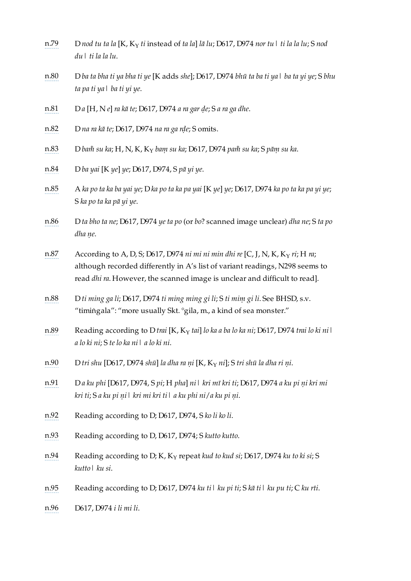<span id="page-29-17"></span><span id="page-29-16"></span><span id="page-29-15"></span><span id="page-29-14"></span><span id="page-29-13"></span><span id="page-29-12"></span><span id="page-29-11"></span><span id="page-29-10"></span><span id="page-29-9"></span><span id="page-29-8"></span><span id="page-29-7"></span><span id="page-29-6"></span><span id="page-29-5"></span><span id="page-29-4"></span><span id="page-29-3"></span><span id="page-29-2"></span><span id="page-29-1"></span><span id="page-29-0"></span>

| n.79 | D nod tu ta la [K, K <sub>Y</sub> ti instead of ta la] lā lu; D617, D974 nor tu $\mid$ ti la la lu; S nod<br>du \ ti la la lu.                                                                                                                   |
|------|--------------------------------------------------------------------------------------------------------------------------------------------------------------------------------------------------------------------------------------------------|
| n.80 | D ba ta bha ti ya bha ti ye [K adds she]; D617, D974 bhū ta ba ti ya   ba ta yi ye; S bhu<br>ta pa ti ya ba ti yi ye.                                                                                                                            |
| n.81 | Da [H, N e] ra kā te; D617, D974 a ra gar de; S a ra ga dhe.                                                                                                                                                                                     |
| n.82 | D na ra kā te; D617, D974 na ra ga rde; S omits.                                                                                                                                                                                                 |
| n.83 | D bam su ka; H, N, K, K am su ka; D617, D974 pam su ka; S pām su ka.                                                                                                                                                                             |
| n.84 | D ba yai [K ye] ye; D617, D974, S pā yi ye.                                                                                                                                                                                                      |
| n.85 | A ka po ta ka ba yai ye; D ka po ta ka pa yai [K ye] ye; D617, D974 ka po ta ka pa yi ye;<br>S ka po ta ka pā yi ye.                                                                                                                             |
| n.86 | D ta bho ta ne; D617, D974 ye ta po (or bo? scanned image unclear) dha ne; S ta po<br>dha ne.                                                                                                                                                    |
| n.87 | According to A, D, S; D617, D974 ni mi ni min dhi re [C, J, N, K, K $_Y$ ri; H ra;<br>although recorded differently in A's list of variant readings, N298 seems to<br>read dhi ra. However, the scanned image is unclear and difficult to read]. |
| n.88 | D ti ming ga li; D617, D974 ti ming ming gi li; S ti mim gi li. See BHSD, s.v.<br>"timingala": "more usually Skt. °gila, m., a kind of sea monster."                                                                                             |
| n.89 | Reading according to D trai [K, K $_Y$ tai] lo ka a ba lo ka ni; D617, D974 trai lo ki ni l<br>a lo ki ni; S te lo ka ni   a lo ki ni.                                                                                                           |
| n.90 | D tri shu [D617, D974 shū] la dha ra ni [K, K $_{\rm Y}$ ni]; S tri shū la dha ri ni.                                                                                                                                                            |
| n.91 | Da ku phi [D617, D974, S pi; H pha] ni   kri mī kri ti; D617, D974 a ku pi ni kri mi<br>kri ti; S a ku pi ni   kri mi kri ti   a ku phi ni/a ku pi ni.                                                                                           |
| n.92 | Reading according to D; D617, D974, S ko li ko li.                                                                                                                                                                                               |
| n.93 | Reading according to D, D617, D974; S kutto kutto.                                                                                                                                                                                               |
| n.94 | Reading according to D; K, K <sub>Y</sub> repeat kud to kud si; D617, D974 ku to ki si; S<br>kutto   ku si.                                                                                                                                      |
| n.95 | Reading according to D; D617, D974 ku til ku pi ti; S kā til ku pu ti; C ku rti.                                                                                                                                                                 |
| n.96 | D617, D974 i li mi li.                                                                                                                                                                                                                           |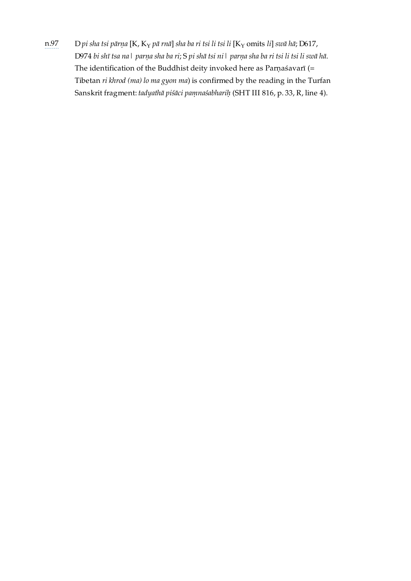<span id="page-30-0"></span>[n.97](#page-19-64) D *pi sha tsi pārṇa* [K, K *pā rnā*] *sha ba ri tsi li tsi li* [K omits *li*] *swā hā*; D617, Y YD974 bi shī tsa na | parņa sha ba ri; S pi shā tsi ni | parņa sha ba ri tsi li tsi li swā hā. The identification of the Buddhist deity invoked here as Parṇaśavarī (= Tibetan *ri khrod (ma) lo ma gyon ma*) is confirmed by the reading in the Turfan Sanskrit fragment: *tadyathā piśāci paṃnaśabhariḥ* (SHT III 816, p. 33, R, line 4).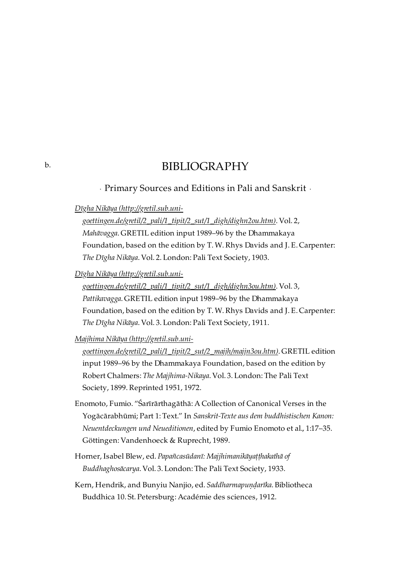## BIBLIOGRAPHY

· Primary Sources and Editions in Pali and Sanskrit ·

*Dīgha Nikāya (http://gretil.sub.uni-*

*[goettingen.de/gretil/2\\_pali/1\\_tipit/2\\_sut/1\\_digh/dighn2ou.htm\)](http://gretil.sub.uni-goettingen.de/gretil/2_pali/1_tipit/2_sut/1_digh/dighn2ou.htm)*. Vol. 2,

*Mahāvagga*. GRETIL edition input 1989–96 by the Dhammakaya Foundation, based on the edition by T. W. Rhys Davids and J. E. Carpenter: *The Dīgha Nikāya*. Vol. 2. London: Pali Text Society, 1903.

*Dīgha Nikāya (http://gretil.sub.uni-*

*[goettingen.de/gretil/2\\_pali/1\\_tipit/2\\_sut/1\\_digh/dighn3ou.htm\)](http://gretil.sub.uni-goettingen.de/gretil/2_pali/1_tipit/2_sut/1_digh/dighn3ou.htm)*. Vol. 3, *Pattikavagga*. GRETIL edition input 1989–96 by the Dhammakaya Foundation, based on the edition by T. W. Rhys Davids and J. E. Carpenter: *The Dīgha Nikāya*. Vol. 3. London: Pali Text Society, 1911.

*Majjhima Nikāya (http://gretil.sub.uni-*

*[goettingen.de/gretil/2\\_pali/1\\_tipit/2\\_sut/2\\_majjh/majjn3ou.htm\)](http://gretil.sub.uni-goettingen.de/gretil/2_pali/1_tipit/2_sut/2_majjh/majjn3ou.htm)*. GRETIL edition input 1989–96 by the Dhammakaya Foundation, based on the edition by Robert Chalmers: *The Majjhima-Nikaya*. Vol. 3. London: The Pali Text Society, 1899. Reprinted 1951, 1972.

- Enomoto, Fumio. "Śarīrārthagāthā: A Collection of Canonical Verses in the Yogācārabhūmi; Part 1: Text." In *Sanskrit-Texte aus dem buddhistischen Kanon: Neuentdeckungen und Neueditionen*, edited by Fumio Enomoto et al., 1:17–35. Göttingen: Vandenhoeck & Ruprecht, 1989.
- Horner, Isabel Blew, ed. *Papañcasūdanī: Majjhimanikāyaṭṭhakathā of Buddhaghosācarya*. Vol. 3. London: The Pali Text Society, 1933.
- Kern, Hendrik, and Bunyiu Nanjio, ed. *Saddharmapuṇḍarīka*. Bibliotheca Buddhica 10. St. Petersburg: Académie des sciences, 1912.

<span id="page-31-1"></span><span id="page-31-0"></span>[b.](#page-31-0)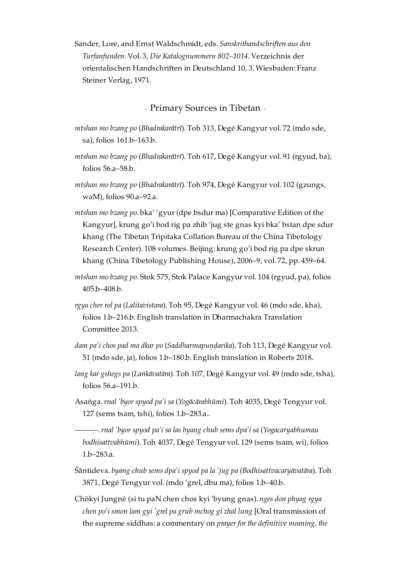Sander, Lore, and Ernst Waldschmidt, eds. *Sanskrithandschriften aus den Turfanfunden*. Vol. 3, *Die Katalognummern 802–1014*. Verzeichnis der orientalischen Handschriften in Deutschland 10, 3. Wiesbaden: Franz Steiner Verlag, 1971.

· Primary Sources in Tibetan ·

- <span id="page-32-0"></span>*mtshan mo bzang po* (*Bhadrakarātrī*). Toh 313, Degé Kangyur vol. 72 (mdo sde, sa), folios 161.b–163.b.
- *mtshan mo bzang po* (*Bhadrakarātrī*). Toh 617, Degé Kangyur vol. 91 (rgyud, ba), folios 56.a–58.b.
- *mtshan mo bzang po* (*Bhadrakarātrī*). Toh 974, Degé Kangyur vol. 102 (gzungs, waM), folios 90.a–92.a.
- *mtshan mo bzang po*. bka' 'gyur (dpe bsdur ma) [Comparative Edition of the Kangyur], krung go'i bod rig pa zhib 'jug ste gnas kyi bka' bstan dpe sdur khang (The Tibetan Tripitaka Collation Bureau of the China Tibetology Research Center). 108 volumes. Beijing: krung go'i bod rig pa dpe skrun khang (China Tibetology Publishing House), 2006–9, vol. 72, pp. 459–64.
- *mtshan mo bzang po*. Stok 575, Stok Palace Kangyur vol. 104 (rgyud, pa), folios 405.b–408.b.
- *rgya cher rol pa* (*Lalitavistara*). Toh 95, Degé Kangyur vol. 46 (mdo sde, kha), folios 1.b–216.b. English translation in Dharmachakra Translation Committee 2013.
- *dam pa'i chos pad ma dkar po* (*Saddharmapuṇḍarika*). Toh 113, Degé Kangyur vol. 51 (mdo sde, ja), folios 1.b–180.b. English translation in Roberts 2018.
- *lang kar gshegs pa* (*Laṅkāvatāra*). Toh 107, Degé Kangyur vol. 49 (mdo sde, tsha), folios 56.a–191.b.
- Asaṅga.*rnal 'byor spyod pa'i sa* (*Yogācārabhūmi*). Toh 4035, Degé Tengyur vol. 127 (sems tsam, tshi), folios 1.b–283.a..
	- ———.*rnal 'byor spyod pa'i sa las byang chub sems dpa'i sa* (*Yogacaryabhumau bodhisattvabhūmi*). Toh 4037, Degé Tengyur vol. 129 (sems tsam, wi), folios 1.b–283.a.
- Śāntideva. *byang chub sems dpa'i spyod pa la 'jug pa* (*Bodhisattvacaryāvatāra*). Toh 3871, Degé Tengyur vol. (mdo 'grel, dbu ma), folios 1.b–40.b.
- Chökyi Jungné (si tu paN chen chos kyi 'byung gnas). *nges don phyag rgya chen po'i smon lam gyi 'grel pa grub mchog gi zhal lung* [Oral transmission of the supreme siddhas: a commentary on *prayer for the definitive meaning, the*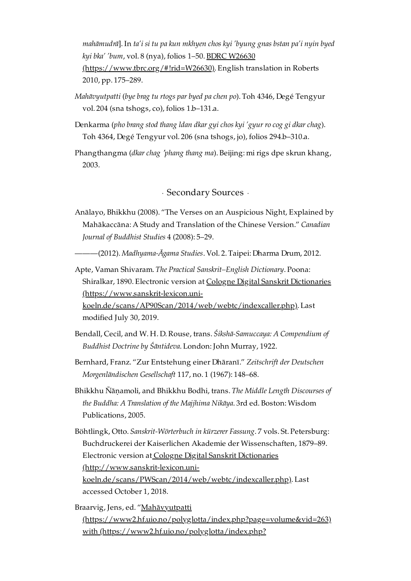*mahāmudrā*]. In *ta'i si tu pa kun mkhyen chos kyi 'byung gnas bstan pa'i nyin byed kyi bka' 'bum*, vol. 8 (nya), folios 1–50. BDRC W26630 [\(https://www.tbrc.org/#!rid=W26630\).](https://www.tbrc.org/#!rid=W26630) English translation in Roberts 2010, pp. 175–289.

- *Mahāvyutpatti* (*bye brag tu rtogs par byed pa chen po*). Toh 4346, Degé Tengyur vol. 204 (sna tshogs, co), folios 1.b–131.a.
- Denkarma (*pho brang stod thang ldan dkar gyi chos kyi 'gyur ro cog gi dkar chag*). Toh 4364, Degé Tengyur vol. 206 (sna tshogs, jo), folios 294.b–310.a.

Phangthangma (*dkar chag* <sup>&#</sup>x27;*phang thang ma*). Beijing: mi rigs dpe skrun khang, 2003.

· Secondary Sources ·

<span id="page-33-0"></span>Anālayo, Bhikkhu (2008). "The Verses on an Auspicious Night, Explained by Mahākaccāna: A Study and Translation of the Chinese Version." *Canadian Journal of Buddhist Studies* 4 (2008): 5–29.

———(2012). *Madhyama-Āgama Studies*. Vol. 2. Taipei: Dharma Drum, 2012.

Apte, Vaman Shivaram. *The Practical Sanskrit–English Dictionary*. Poona: Shiralkar, 1890. Electronic version at Cologne Digital Sanskrit Dictionaries (https://www.sanskrit-lexicon.uni-

[koeln.de/scans/AP90Scan/2014/web/webtc/indexcaller.php\).](https://www.sanskrit-lexicon.uni-koeln.de/scans/AP90Scan/2014/web/webtc/indexcaller.php) Last modified July 30, 2019.

- Bendall, Cecil, and W. H. D. Rouse, trans. *Śikshā-Samuccaya: A Compendium of Buddhist Doctrine by Śāntideva*. London: John Murray, 1922.
- Bernhard, Franz. "Zur Entstehung einer Dhāranī." *Zeitschrift der Deutschen Morgenländischen Gesellschaft* 117, no. 1 (1967): 148–68.
- Bhikkhu Ñāṇamoli, and Bhikkhu Bodhi, trans. *The Middle Length Discourses of the Buddha: A Translation of the Majjhima Nikāya*. 3rd ed. Boston: Wisdom Publications, 2005.
- Böhtlingk, Otto. *Sanskrit-Wörterbuch in kürzerer Fassung*. 7 vols. St. Petersburg: Buchdruckerei der Kaiserlichen Akademie der Wissenschaften, 1879–89. Electronic version at Cologne Digital Sanskrit Dictionaries (http://www.sanskrit-lexicon.uni[koeln.de/scans/PWScan/2014/web/webtc/indexcaller.php\)](http://www.sanskrit-lexicon.uni-koeln.de/scans/PWScan/2014/web/webtc/indexcaller.php). Last accessed October 1, 2018.
- Braarvig, Jens, ed. "Mahāvyutpatti [\(https://www2.hf.uio.no/polyglotta/index.php?page=volume&vid=263\)](https://www2.hf.uio.no/polyglotta/index.php?page=volume&vid=263) with [\(https://www2.hf.uio.no/polyglotta/index.php?](https://www2.hf.uio.no/polyglotta/index.php?page=volume&vid=263)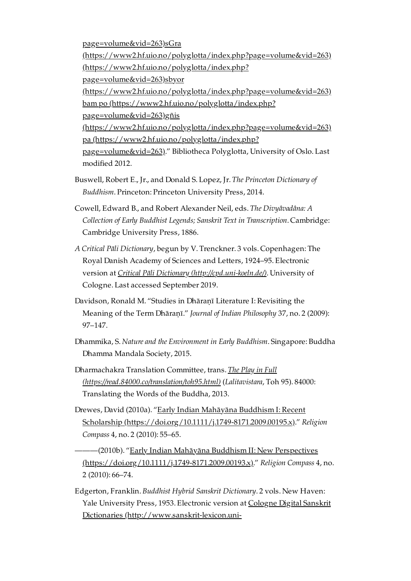[page=volume&vid=263\)sGra](https://www2.hf.uio.no/polyglotta/index.php?page=volume&vid=263) [\(https://www2.hf.uio.no/polyglotta/index.php?page=volume&vid=263\)](https://www2.hf.uio.no/polyglotta/index.php?page=volume&vid=263) [\(https://www2.hf.uio.no/polyglotta/index.php?](https://www2.hf.uio.no/polyglotta/index.php?page=volume&vid=263) page=volume&vid=263)sbyor [\(https://www2.hf.uio.no/polyglotta/index.php?page=volume&vid=263\)](https://www2.hf.uio.no/polyglotta/index.php?page=volume&vid=263) bam po [\(https://www2.hf.uio.no/polyglotta/index.php?](https://www2.hf.uio.no/polyglotta/index.php?page=volume&vid=263) page=volume&vid=263)gñis [\(https://www2.hf.uio.no/polyglotta/index.php?page=volume&vid=263\)](https://www2.hf.uio.no/polyglotta/index.php?page=volume&vid=263) pa [\(https://www2.hf.uio.no/polyglotta/index.php?](https://www2.hf.uio.no/polyglotta/index.php?page=volume&vid=263) page=volume&vid=263)." Bibliotheca Polyglotta, University of Oslo. Last modified 2012.

- Buswell, Robert E., Jr., and Donald S. Lopez, Jr. *The Princeton Dictionary of Buddhism*. Princeton: Princeton University Press, 2014.
- Cowell, Edward B., and Robert Alexander Neil, eds. *The Divyâvadâna: A Collection of Early Buddhist Legends; Sanskrit Text in Transcription*. Cambridge: Cambridge University Press, 1886.
- *A Critical Pāli Dictionary*, begun by V. Trenckner. 3 vols. Copenhagen: The Royal Danish Academy of Sciences and Letters, 1924–95. Electronic version at *Critical Pāli Dictionary [\(http://cpd.uni-koeln.de/\)](http://cpd.uni-koeln.de/)*. University of Cologne. Last accessed September 2019.
- Davidson, Ronald M. "Studies in Dhāraṇī Literature I: Revisiting the Meaning of the Term Dhāraṇī." *Journal of Indian Philosophy* 37, no. 2 (2009): 97–147.
- Dhammika, S. *Nature and the Environment in Early Buddhism*. Singapore: Buddha Dhamma Mandala Society, 2015.
- Dharmachakra Translation Committee, trans. *The Play in Full [\(https://read.84000.co/translation/toh95.html\)](https://read.84000.co/translation/toh95.html)* (*Lalitavistara*, Toh 95). 84000: Translating the Words of the Buddha, 2013.
- Drewes, David (2010a). "Early Indian Mahāyāna Buddhism I: Recent Scholarship [\(https://doi.org/10.1111/j.1749-8171.2009.00195.x\)."](https://doi.org/10.1111/j.1749-8171.2009.00195.x) *Religion Compass* 4, no. 2 (2010): 55–65.
- ———(2010b). "Early Indian Mahāyāna Buddhism II: New Perspectives [\(https://doi.org/10.1111/j.1749-8171.2009.00193.x\)."](https://doi.org/10.1111/j.1749-8171.2009.00193.x) *Religion Compass* 4, no. 2 (2010): 66–74.
- Edgerton, Franklin. *Buddhist Hybrid Sanskrit Dictionary*. 2 vols. New Haven: Yale University Press, 1953. Electronic version at Cologne Digital Sanskrit Dictionaries [\(http://www.sanskrit-lexicon.uni-](http://www.sanskrit-lexicon.uni-koeln.de/scans/BHSScan/2014/web/webtc/indexcaller.php)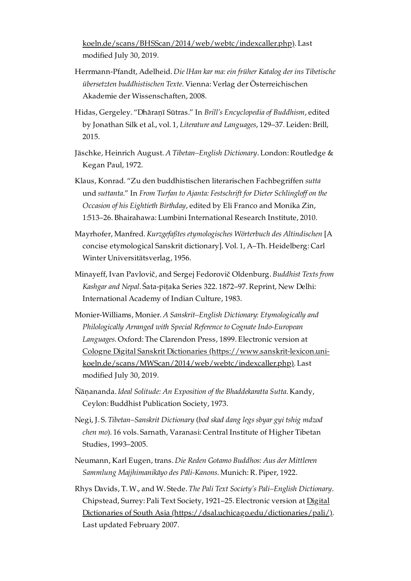[koeln.de/scans/BHSScan/2014/web/webtc/indexcaller.php\).](http://www.sanskrit-lexicon.uni-koeln.de/scans/BHSScan/2014/web/webtc/indexcaller.php) Last modified July 30, 2019.

- Herrmann-Pfandt, Adelheid. *Die lHan kar ma: ein früher Katalog der ins Tibetische übersetzten buddhistischen Texte*. Vienna: Verlag der Österreichischen Akademie der Wissenschaften, 2008.
- Hidas, Gergeley. "Dhāraṇī Sūtras." In *Brill's Encyclopedia of Buddhism*, edited by Jonathan Silk et al., vol. 1, *Literature and Languages*, 129–37. Leiden: Brill, 2015.
- Jäschke, Heinrich August. *A Tibetan–English Dictionary*. London: Routledge & Kegan Paul, 1972.
- Klaus, Konrad. "Zu den buddhistischen literarischen Fachbegriffen *sutta* und *suttanta*." In *From Turfan to Ajanta: Festschrift for Dieter Schlinglof on the Occasion of his Eightieth Birthday*, edited by Eli Franco and Monika Zin, 1:513–26. Bhairahawa: Lumbini International Research Institute, 2010.
- Mayrhofer, Manfred. *Kurzgefaßtes etymologisches Wörterbuch des Altindischen* [A concise etymological Sanskrit dictionary]. Vol. 1, A–Th. Heidelberg: Carl Winter Universitätsverlag, 1956.
- Minayeff, Ivan Pavlovič, and Sergej Fedorovič Oldenburg. *Buddhist Texts from Kashgar and Nepal*. Śata-piṭaka Series 322. 1872–97. Reprint, New Delhi: International Academy of Indian Culture, 1983.
- Monier-Williams, Monier. *A Sanskrit–English Dictionary: Etymologically and Philologically Arranged with Special Reference to Cognate Indo-European Languages*. Oxford: The Clarendon Press, 1899. Electronic version at Cologne Digital Sanskrit Dictionaries (https://www.sanskrit-lexicon.uni[koeln.de/scans/MWScan/2014/web/webtc/indexcaller.php\).](https://www.sanskrit-lexicon.uni-koeln.de/scans/MWScan/2014/web/webtc/indexcaller.php) Last modified July 30, 2019.
- Ñāṇananda. *Ideal Solitude: An Exposition of the Bhaddekaratta Sutta*. Kandy, Ceylon: Buddhist Publication Society, 1973.
- Negi, J. S. *Tibetan–Sanskrit Dictionary* (*bod skad dang legs sbyar gyi tshig mdzod chen mo*). 16 vols. Sarnath, Varanasi: Central Institute of Higher Tibetan Studies, 1993–2005.
- Neumann, Karl Eugen, trans. *Die Reden Gotamo Buddhos: Aus der Mittleren Sammlung Majjhimanikāyo des Pāli-Kanons*. Munich: R. Piper, 1922.
- Rhys Davids, T. W., and W. Stede. *The Pali Text Society's Pali–English Dictionary*. Chipstead, Surrey: Pali Text Society, 1921–25. Electronic version at Digital Dictionaries of South Asia [\(https://dsal.uchicago.edu/dictionaries/pali/\)](https://dsal.uchicago.edu/dictionaries/pali/). Last updated February 2007.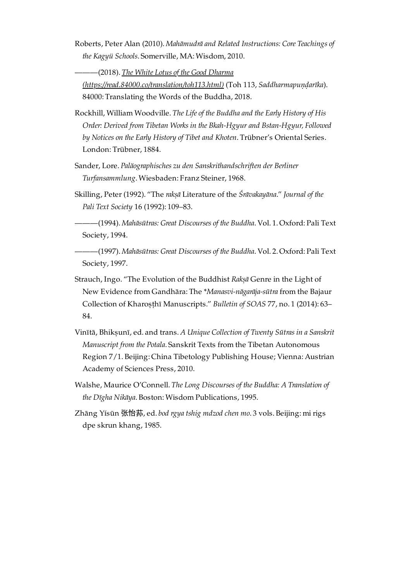Roberts, Peter Alan (2010). *Mahāmudrā and Related Instructions: Core Teachings of the Kagyü Schools*. Somerville, MA: Wisdom, 2010.

———(2018). *The White Lotus of the Good Dharma*

*[\(https://read.84000.co/translation/toh113.html\)](https://read.84000.co/translation/toh113.html)* (Toh 113, *Saddharmapuṇḍarīka*). 84000: Translating the Words of the Buddha, 2018.

- Rockhill, William Woodville. *The Life of the Buddha and the Early History of His Order: Derived from Tibetan Works in the Bkah-Hgyur and Bstan-Hgyur, Followed by Notices on the Early History of Tibet and Khoten*. Trübner's Oriental Series. London: Trübner, 1884.
- Sander, Lore. *Paläographisches zu den Sanskrithandschriften der Berliner Turfansammlung*. Wiesbaden: Franz Steiner, 1968.
- Skilling, Peter (1992). "The *rakṣā* Literature of the *Śrāvakayāna*." *Journal of the Pali Text Society* 16 (1992): 109–83.

———(1994). *Mahāsūtras: Great Discourses of the Buddha*. Vol. 1. Oxford: Pali Text Society, 1994.

———(1997). *Mahāsūtras: Great Discourses of the Buddha*. Vol. 2. Oxford: Pali Text Society, 1997.

- Strauch, Ingo. "The Evolution of the Buddhist *Rakṣā* Genre in the Light of New Evidence from Gandhāra: The \**Manasvi-nāgarāja-sūtra* from the Bajaur Collection of Kharoṣṭhī Manuscripts." *Bulletin of SOAS* 77, no. 1 (2014): 63– 84.
- Vinītā, Bhikṣunī, ed. and trans. *A Unique Collection of Twenty Sūtras in a Sanskrit Manuscript from the Potala*. Sanskrit Texts from the Tibetan Autonomous Region 7/1. Beijing: China Tibetology Publishing House; Vienna: Austrian Academy of Sciences Press, 2010.
- Walshe, Maurice O'Connell. *The Long Discourses of the Buddha: A Translation of the Dīgha Nikāya*. Boston: Wisdom Publications, 1995.
- Zhāng Yísūn 张怡荪, ed. *bod rgya tshig mdzod chen mo*. 3 vols. Beijing: mi rigs dpe skrun khang, 1985.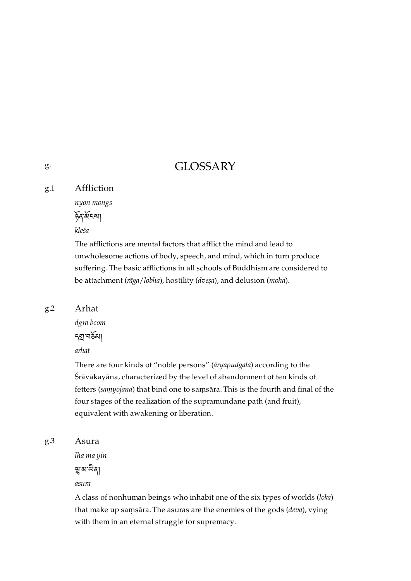## GLOSSARY

#### <span id="page-37-1"></span>Affliction [g.1](#page-37-1)

*nyon mongs*

ན་ངས།

*kleśa*

The afflictions are mental factors that afflict the mind and lead to unwholesome actions of body, speech, and mind, which in turn produce suffering. The basic afflictions in all schools of Buddhism are considered to be attachment (*rāga*/*lobha*), hostility (*dveṣa*), and delusion (*moha*).

### <span id="page-37-2"></span>[g.2](#page-37-2)

*dgra bcom* নগ্ৰাম্বৰ্ষমা

Arhat

*arhat*

There are four kinds of "noble persons" (*āryapudgala*) according to the Śrāvakayāna, characterized by the level of abandonment of ten kinds of fetters (*saṃyojana*) that bind one to saṃsāra. This is the fourth and final of the four stages of the realization of the supramundane path (and fruit), equivalent with awakening or liberation.

#### <span id="page-37-3"></span>Asura [g.3](#page-37-3)

*lha ma yin*

ন্থু ৰা অৱ।

*asura*

A class of nonhuman beings who inhabit one of the six types of worlds (*loka*) that make up saṃsāra. The asuras are the enemies of the gods (*deva*), vying with them in an eternal struggle for supremacy.

<span id="page-37-0"></span>[g.](#page-37-0)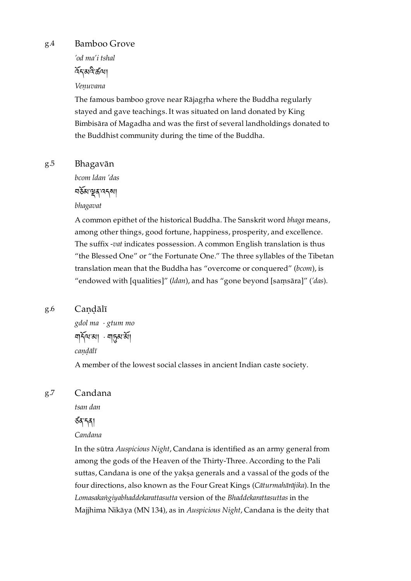<span id="page-38-0"></span>[g.4](#page-38-0)

### Bamboo Grove

*'od ma'i tshal* ৰ্নিয়ন্ত্ৰীক্ৰী

### *Veṇuvana*

The famous bamboo grove near Rājagṛha where the Buddha regularly stayed and gave teachings. It was situated on land donated by King Bimbisāra of Magadha and was the first of several landholdings donated to the Buddhist community during the time of the Buddha.

#### <span id="page-38-1"></span>Bhagavān [g.5](#page-38-1)

*bcom ldan 'das*

བམ་ན་འདས།

### *bhagavat*

A common epithet of the historical Buddha. The Sanskrit word *bhaga* means, among other things, good fortune, happiness, prosperity, and excellence. The suffix -*vat* indicates possession. A common English translation is thus "the Blessed One" or "the Fortunate One." The three syllables of the Tibetan translation mean that the Buddha has "overcome or conquered" (*bcom*), is "endowed with [qualities]" (*ldan*), and has "gone beyond [saṃsāra]" (*'das*).

#### <span id="page-38-2"></span>Candālī [g.6](#page-38-2)

*gdol ma* · *gtum mo* <u> ম</u>ার্কম'ৰা · মাচুন্স'ৰা *caṇḍālī*

A member of the lowest social classes in ancient Indian caste society.

#### <span id="page-38-3"></span>Candana [g.7](#page-38-3)

*tsan dan*

## ཙན་དན།

*Candana*

In the sūtra *Auspicious Night*, Candana is identified as an army general from among the gods of the Heaven of the Thirty-Three. According to the Pali suttas, Candana is one of the yakṣa generals and a vassal of the gods of the four directions, also known as the Four Great Kings (*Cāturmahārājika*). In the *Lomasakaṅgiyabhaddekarattasutta* version of the *Bhaddekarattasuttas* in the Majjhima Nikāya (MN 134), as in *Auspicious Night*, Candana is the deity that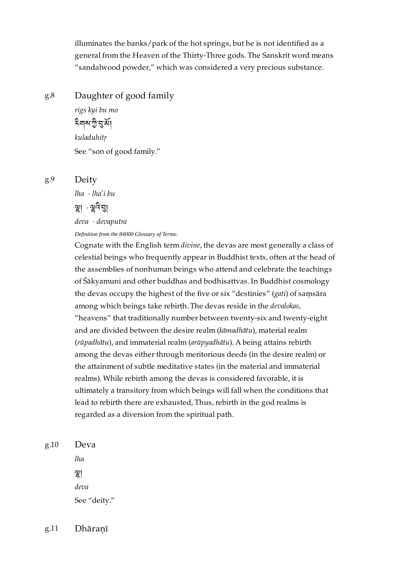illuminates the banks/park of the hot springs, but he is not identified as a general from the Heaven of the Thirty-Three gods. The Sanskrit word means "sandalwood powder," which was considered a very precious substance.

#### <span id="page-39-0"></span>Daughter of good family [g.8](#page-39-0)

*rigs kyi bu mo* ইশৰুত্মী বুৰ্মা *kuladuhitṛ* See "son of good family."

<span id="page-39-1"></span>[g.9](#page-39-1)

*lha* · *lha'i bu*

Deity

শ্লা · শ্লুনয়া

*deva* · *devaputra*

*Definition from the 84000 Glossary of Terms:*

Cognate with the English term *divine*, the devas are most generally a class of celestial beings who frequently appear in Buddhist texts, often at the head of the assemblies of nonhuman beings who attend and celebrate the teachings of Śākyamuni and other buddhas and bodhisattvas. In Buddhist cosmology the devas occupy the highest of the five or six "destinies" (*gati*) of saṃsāra among which beings take rebirth. The devas reside in the *devalokas*, "heavens" that traditionally number between twenty-six and twenty-eight and are divided between the desire realm (*kāmadhātu*), material realm (*rūpadhātu*), and immaterial realm (*arūpyadhātu*). A being attains rebirth among the devas either through meritorious deeds (in the desire realm) or the attainment of subtle meditative states (in the material and immaterial realms). While rebirth among the devas is considered favorable, it is ultimately a transitory from which beings will fall when the conditions that lead to rebirth there are exhausted, Thus, rebirth in the god realms is regarded as a diversion from the spiritual path.

<span id="page-39-2"></span>[g.10](#page-39-2)

*lha*  $\mathbb{R}$ *deva* See "deity."

Deva

<span id="page-39-3"></span>Dhāraṇī [g.11](#page-39-3)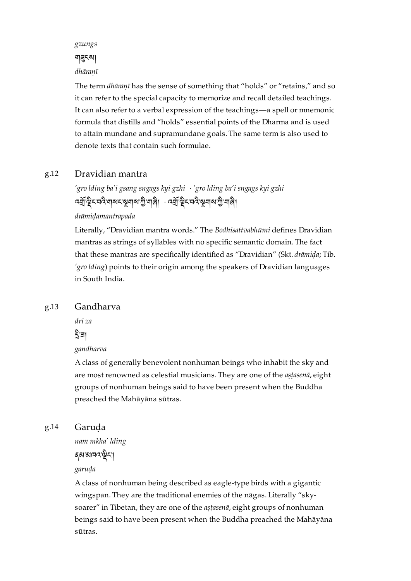*gzungs*

### নাৱুক্মা

### *dhāraṇī*

The term *dhāraṇī* has the sense of something that "holds" or "retains," and so it can refer to the special capacity to memorize and recall detailed teachings. It can also refer to a verbal expression of the teachings—a spell or mnemonic formula that distills and "holds" essential points of the Dharma and is used to attain mundane and supramundane goals. The same term is also used to denote texts that contain such formulae.

#### <span id="page-40-0"></span>Dravidian mantra [g.12](#page-40-0)

*'gro lding ba'i gsang sngags kyi gzhi* · *'gro lding ba'i sngags kyi gzhi* বর্ম্বাস্ট্র্মবের্মবাঝমস্থলামাজী - ব্র্মাস্ট্রমবরস্থানামাজী নার্

*drāmiḍamantrapada*

Literally, "Dravidian mantra words." The *Bodhisattvabhūmi* defines Dravidian mantras as strings of syllables with no specific semantic domain. The fact that these mantras are specifically identified as "Dravidian" (Skt. *drāmiḍa*; Tib. *'gro lding*) points to their origin among the speakers of Dravidian languages in South India.

#### <span id="page-40-1"></span>Gandharva [g.13](#page-40-1)

*dri za*

## হ̂'ন্ন∣

### *gandharva*

A class of generally benevolent nonhuman beings who inhabit the sky and are most renowned as celestial musicians. They are one of the *aṣṭasenā*, eight groups of nonhuman beings said to have been present when the Buddha preached the Mahāyāna sūtras.

#### <span id="page-40-2"></span>Garuḍa [g.14](#page-40-2)

*nam mkha' lding*

## ནམ་མཁའ་ང་།

### *garuḍa*

A class of nonhuman being described as eagle-type birds with a gigantic wingspan. They are the traditional enemies of the nāgas. Literally "skysoarer" in Tibetan, they are one of the *aṣṭasenā*, eight groups of nonhuman beings said to have been present when the Buddha preached the Mahāyāna sūtras.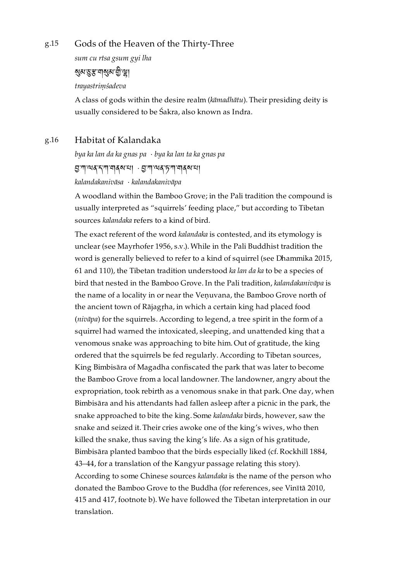#### <span id="page-41-0"></span>Gods of the Heaven of the Thirty-Three [g.15](#page-41-0)

*sum cu rtsa gsum gyi lha*

<u>য়৶প্রস্ক বাথিপ যুক্টী তী।</u>

*trayastriṃśadeva*

A class of gods within the desire realm (*kāmadhātu*). Their presiding deity is usually considered to be Śakra, also known as Indra.

#### <span id="page-41-1"></span>Habitat of Kalandaka [g.16](#page-41-1)

*bya ka lan da ka gnas pa* · *bya ka lan ta ka gnas pa* ম্''ন'ৰ'ব'ন'''নাৰ্মৰ'মা  $\cdot$ ম্ভ'শ'ন্মৰ'চ'শ'নাৰ্মৰ'মা *kalandakanivāsa* · *kalandakanivāpa*

A woodland within the Bamboo Grove; in the Pali tradition the compound is usually interpreted as "squirrels' feeding place," but according to Tibetan sources *kalandaka* refers to a kind of bird.

The exact referent of the word *kalandaka* is contested, and its etymology is unclear (see Mayrhofer 1956, s.v.). While in the Pali Buddhist tradition the word is generally believed to refer to a kind of squirrel (see Dhammika 2015, 61 and 110), the Tibetan tradition understood *ka lan da ka* to be a species of bird that nested in the Bamboo Grove. In the Pali tradition, *kalandakanivāpa* is the name of a locality in or near the Venuvana, the Bamboo Grove north of the ancient town of Rājagṛha, in which a certain king had placed food (*nivāpa*) for the squirrels. According to legend, a tree spirit in the form of a squirrel had warned the intoxicated, sleeping, and unattended king that a venomous snake was approaching to bite him. Out of gratitude, the king ordered that the squirrels be fed regularly. According to Tibetan sources, King Bimbisāra of Magadha confiscated the park that was later to become the Bamboo Grove from a local landowner. The landowner, angry about the expropriation, took rebirth as a venomous snake in that park. One day, when Bimbisāra and his attendants had fallen asleep after a picnic in the park, the snake approached to bite the king. Some *kalandaka* birds, however, saw the snake and seized it. Their cries awoke one of the king's wives, who then killed the snake, thus saving the king's life. As a sign of his gratitude, Bimbisāra planted bamboo that the birds especially liked (cf. Rockhill 1884, 43–44, for a translation of the Kangyur passage relating this story). According to some Chinese sources *kalandaka* is the name of the person who donated the Bamboo Grove to the Buddha (for references, see Vinītā 2010, 415 and 417, footnote b). We have followed the Tibetan interpretation in our translation.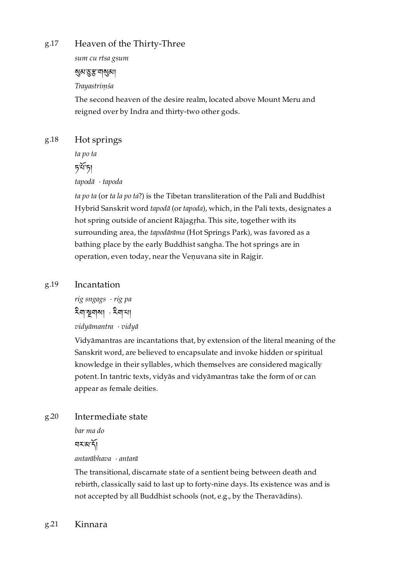#### <span id="page-42-0"></span>Heaven of the Thirty-Three [g.17](#page-42-0)

*sum cu rtsa gsum*

## <u>মু</u>ম মুস্ত্র'নামুমা

*Trayastriṃśa*

The second heaven of the desire realm, located above Mount Meru and reigned over by Indra and thirty-two other gods.

#### <span id="page-42-1"></span>Hot springs [g.18](#page-42-1)

*ta po ta*

 $5\tilde{5}$ 

*tapodā* · *tapoda*

*ta po ta* (or *ta la po ta*?) is the Tibetan transliteration of the Pali and Buddhist Hybrid Sanskrit word *tapodā* (or *tapoda*), which, in the Pali texts, designates a hot spring outside of ancient Rājagṛha. This site, together with its surrounding area, the *tapodārāma* (Hot Springs Park), was favored as a bathing place by the early Buddhist saṅgha. The hot springs are in operation, even today, near the Veṇuvana site in Rajgir.

#### <span id="page-42-2"></span>Incantation [g.19](#page-42-2)

*rig sngags* · *rig pa* ব্লাস্থলমা ব্লিমা *vidyāmantra* · *vidyā*

Vidyāmantras are incantations that, by extension of the literal meaning of the Sanskrit word, are believed to encapsulate and invoke hidden or spiritual knowledge in their syllables, which themselves are considered magically potent. In tantric texts, vidyās and vidyāmantras take the form of or can appear as female deities.

#### <span id="page-42-3"></span>Intermediate state [g.20](#page-42-3)

*bar ma do*

བར་མ་།

*antarābhava* · *antarā*

The transitional, discarnate state of a sentient being between death and rebirth, classically said to last up to forty-nine days. Its existence was and is not accepted by all Buddhist schools (not, e.g., by the Theravādins).

#### <span id="page-42-4"></span>Kinnara [g.21](#page-42-4)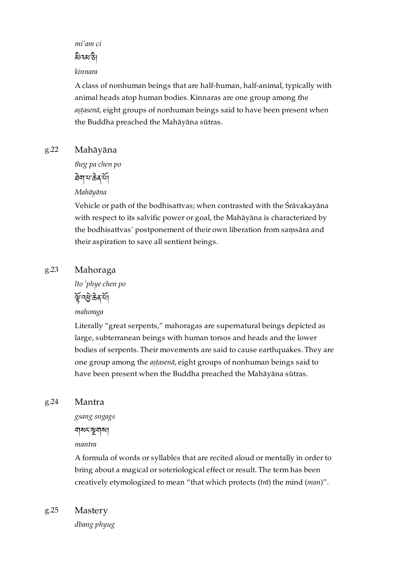*mi'am ci*

### ৯ীনৰাক্টা

### *kinnara*

A class of nonhuman beings that are half-human, half-animal, typically with animal heads atop human bodies. Kinnaras are one group among the *aṣṭasenā*, eight groups of nonhuman beings said to have been present when the Buddha preached the Mahāyāna sūtras.

#### <span id="page-43-0"></span>Mahāyāna [g.22](#page-43-0)

*theg pa chen po*

<u>वे</u>बायाऊे र्या

## *Mahāyāna*

Vehicle or path of the bodhisattvas; when contrasted with the Śrāvakayāna with respect to its salvific power or goal, the Mahāyāna is characterized by the bodhisattvas' postponement of their own liberation from saṃsāra and their aspiration to save all sentient beings.

#### <span id="page-43-1"></span>Mahoraga [g.23](#page-43-1)

*lto 'phye chen po*

मुंग्दछे ऊे दाया

*mahoraga*

Literally "great serpents," mahoragas are supernatural beings depicted as large, subterranean beings with human torsos and heads and the lower bodies of serpents. Their movements are said to cause earthquakes. They are one group among the *aṣṭasenā*, eight groups of nonhuman beings said to have been present when the Buddha preached the Mahāyāna sūtras.

#### <span id="page-43-2"></span>Mantra [g.24](#page-43-2)

*gsang sngags* নামমন্ত্ৰনা *mantra*

A formula of words or syllables that are recited aloud or mentally in order to bring about a magical or soteriological effect or result. The term has been creatively etymologized to mean "that which protects (*trā*) the mind (*man*)".

<span id="page-43-3"></span>Mastery [g.25](#page-43-3)

*dbang phyug*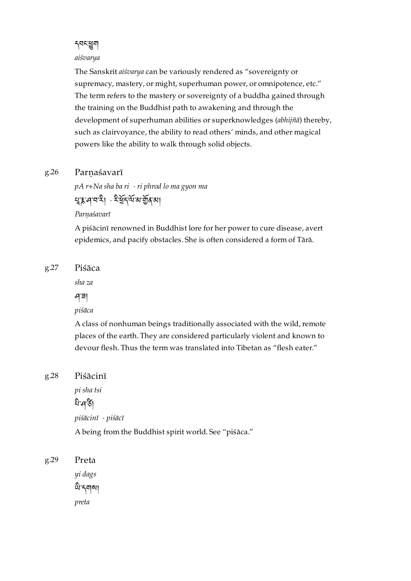དབང་ག *aiśvarya*

The Sanskrit *aiśvarya* can be variously rendered as "sovereignty or supremacy, mastery, or might, superhuman power, or omnipotence, etc." The term refers to the mastery or sovereignty of a buddha gained through the training on the Buddhist path to awakening and through the development of superhuman abilities or superknowledges (*abhijñā*) thereby, such as clairvoyance, the ability to read others' minds, and other magical powers like the ability to walk through solid objects.

#### <span id="page-44-0"></span>Parnaśavarī [g.26](#page-44-0)

*pA r+Na sha ba ri* · *ri phrod lo ma gyon ma* মুয়নবামা সাইবলা আৰু বা

*Parṇaśavarī*

A piśācinī renowned in Buddhist lore for her power to cure disease, avert epidemics, and pacify obstacles. She is often considered a form of Tārā.

#### <span id="page-44-1"></span>Piśāca [g.27](#page-44-1)

*sha za*

ཤ་ཟ།

*piśāca*

A class of nonhuman beings traditionally associated with the wild, remote places of the earth. They are considered particularly violent and known to devour flesh. Thus the term was translated into Tibetan as "flesh eater."

#### <span id="page-44-2"></span>Piśācinī [g.28](#page-44-2)

*pi sha tsi* নি: পশ্চী *piśācinī* · *piśācī* A being from the Buddhist spirit world. See "piśāca."

<span id="page-44-3"></span>Preta *yi dags* থি নবামা *preta* [g.29](#page-44-3)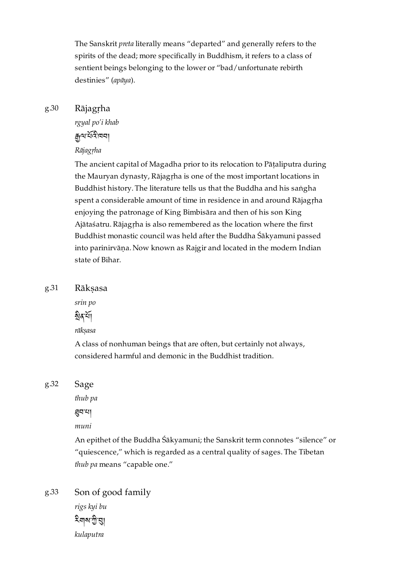The Sanskrit *preta* literally means "departed" and generally refers to the spirits of the dead; more specifically in Buddhism, it refers to a class of sentient beings belonging to the lower or "bad/unfortunate rebirth destinies" (*apāya*).

#### <span id="page-45-0"></span>Rājagṛha [g.30](#page-45-0)

*rgyal po'i khab*

## দ্ৰূত্ম শ্ৰমীত্ৰ বা

### *Rājagṛha*

The ancient capital of Magadha prior to its relocation to Pāṭaliputra during the Mauryan dynasty, Rājagṛha is one of the most important locations in Buddhist history. The literature tells us that the Buddha and his saṅgha spent a considerable amount of time in residence in and around Rājagṛha enjoying the patronage of King Bimbisāra and then of his son King Ajātaśatru. Rājagṛha is also remembered as the location where the first Buddhist monastic council was held after the Buddha Śākyamuni passed into parinirvāṇa. Now known as Rajgir and located in the modern Indian state of Bihar.

<span id="page-45-1"></span>Rākṣasa [g.31](#page-45-1)

*srin po*

ষ্ঠৰূৰ্শ্ৰ

*rākṣasa*

A class of nonhuman beings that are often, but certainly not always, considered harmful and demonic in the Buddhist tradition.

<span id="page-45-2"></span>Sage [g.32](#page-45-2)

*thub pa*

བ་པ།

*muni*

An epithet of the Buddha Śākyamuni; the Sanskrit term connotes "silence" or "quiescence," which is regarded as a central quality of sages. The Tibetan *thub pa* means "capable one."

<span id="page-45-3"></span>Son of good family *rigs kyi bu* <sup>হ</sup>শৰত গ্ৰ *kulaputra* [g.33](#page-45-3)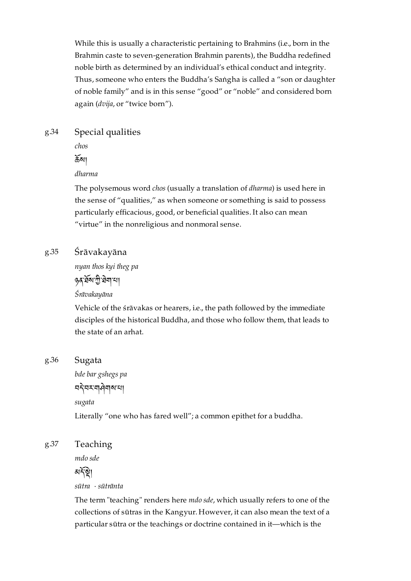While this is usually a characteristic pertaining to Brahmins (i.e., born in the Brahmin caste to seven-generation Brahmin parents), the Buddha redefined noble birth as determined by an individual's ethical conduct and integrity. Thus, someone who enters the Buddha's Saṅgha is called a "son or daughter of noble family" and is in this sense "good" or "noble" and considered born again (*dvija*, or "twice born").

#### <span id="page-46-0"></span>Special qualities [g.34](#page-46-0)

*chos*

 $\mathfrak{F}$ ৰ্মা

### *dharma*

The polysemous word *chos* (usually a translation of *dharma*) is used here in the sense of "qualities," as when someone or something is said to possess particularly efficacious, good, or beneficial qualities. It also can mean "virtue" in the nonreligious and nonmoral sense.

#### <span id="page-46-1"></span>Śrāvakayāna [g.35](#page-46-1)

*nyan thos kyi theg pa*

**ვৰ**`ৰ্ষৰা'না

*Śrāvakayāna*

Vehicle of the śrāvakas or hearers, i.e., the path followed by the immediate disciples of the historical Buddha, and those who follow them, that leads to the state of an arhat.

#### <span id="page-46-2"></span>Sugata [g.36](#page-46-2)

*bde bar gshegs pa* নহ'নমন্দৰামা *sugata*

Literally "one who has fared well"; a common epithet for a buddha.

#### <span id="page-46-3"></span>Teaching [g.37](#page-46-3)

*mdo sde*

## মর্দিষ্টা

*sūtra* · *sūtrānta*

The term "teaching" renders here *mdo sde*, which usually refers to one of the collections of sūtras in the Kangyur. However, it can also mean the text of a particular sūtra or the teachings or doctrine contained in it—which is the